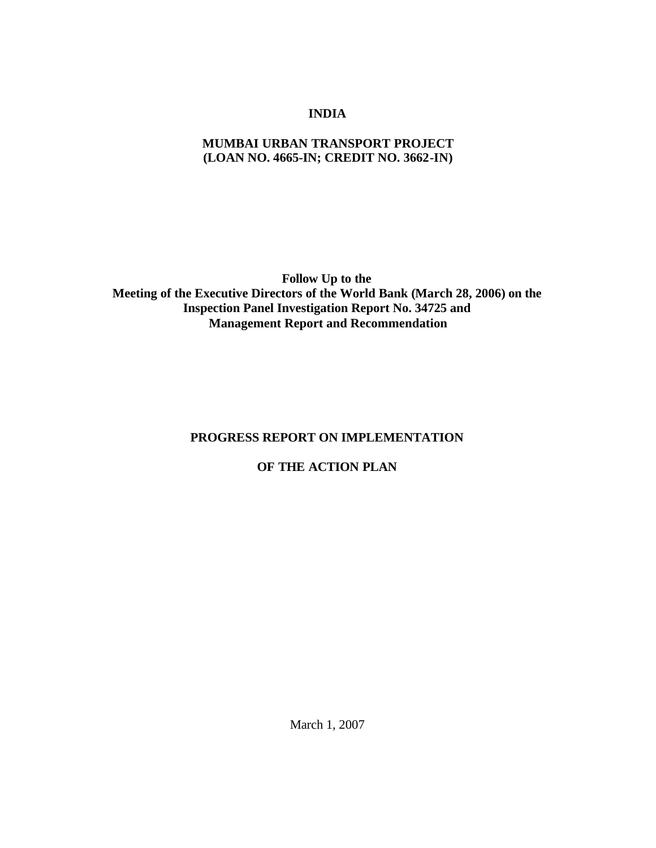# **INDIA**

### **MUMBAI URBAN TRANSPORT PROJECT (LOAN NO. 4665-IN; CREDIT NO. 3662-IN)**

**Follow Up to the Meeting of the Executive Directors of the World Bank (March 28, 2006) on the Inspection Panel Investigation Report No. 34725 and Management Report and Recommendation**

## **PROGRESS REPORT ON IMPLEMENTATION**

## **OF THE ACTION PLAN**

March 1, 2007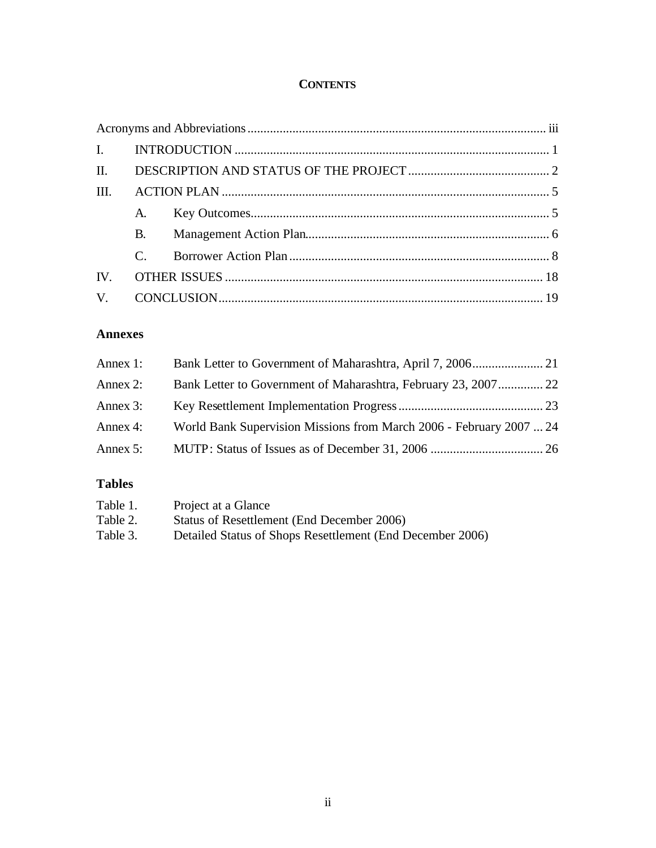## **CONTENTS**

| III. |               |  |  |  |
|------|---------------|--|--|--|
|      |               |  |  |  |
|      | <b>B.</b>     |  |  |  |
|      | $\mathcal{C}$ |  |  |  |
|      |               |  |  |  |
|      |               |  |  |  |

# **Annexes**

| Annex 1: |                                                                     |  |
|----------|---------------------------------------------------------------------|--|
| Annex 2: | Bank Letter to Government of Maharashtra, February 23, 2007 22      |  |
| Annex 3: |                                                                     |  |
| Annex 4: | World Bank Supervision Missions from March 2006 - February 2007  24 |  |
| Annex 5: |                                                                     |  |
|          |                                                                     |  |

# **Tables**

| Table 1. | Project at a Glance                                       |
|----------|-----------------------------------------------------------|
| Table 2. | Status of Resettlement (End December 2006)                |
| Table 3. | Detailed Status of Shops Resettlement (End December 2006) |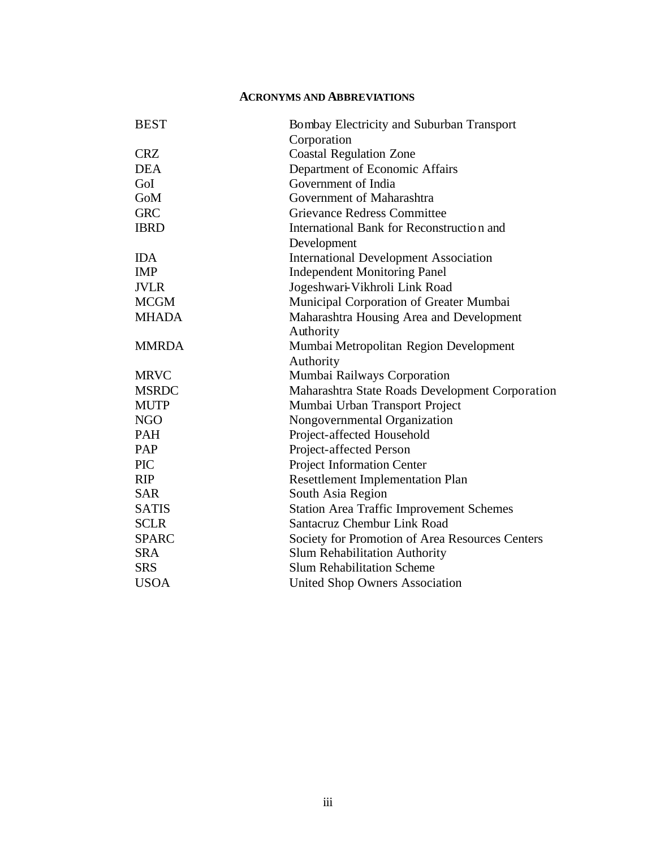#### **ACRONYMS AND ABBREVIATIONS**

| <b>BEST</b>  | Bombay Electricity and Suburban Transport       |
|--------------|-------------------------------------------------|
|              | Corporation                                     |
| <b>CRZ</b>   | <b>Coastal Regulation Zone</b>                  |
| <b>DEA</b>   | Department of Economic Affairs                  |
| GoI          | Government of India                             |
| GoM          | Government of Maharashtra                       |
| <b>GRC</b>   | <b>Grievance Redress Committee</b>              |
| <b>IBRD</b>  | International Bank for Reconstruction and       |
|              | Development                                     |
| <b>IDA</b>   | <b>International Development Association</b>    |
| <b>IMP</b>   | <b>Independent Monitoring Panel</b>             |
| <b>JVLR</b>  | Jogeshwari-Vikhroli Link Road                   |
| <b>MCGM</b>  | Municipal Corporation of Greater Mumbai         |
| <b>MHADA</b> | Maharashtra Housing Area and Development        |
|              | Authority                                       |
| <b>MMRDA</b> | Mumbai Metropolitan Region Development          |
|              | Authority                                       |
| <b>MRVC</b>  | Mumbai Railways Corporation                     |
| <b>MSRDC</b> | Maharashtra State Roads Development Corporation |
| <b>MUTP</b>  | Mumbai Urban Transport Project                  |
| <b>NGO</b>   | Nongovernmental Organization                    |
| PAH          | Project-affected Household                      |
| PAP          | Project-affected Person                         |
| <b>PIC</b>   | Project Information Center                      |
| <b>RIP</b>   | Resettlement Implementation Plan                |
| <b>SAR</b>   | South Asia Region                               |
| <b>SATIS</b> | <b>Station Area Traffic Improvement Schemes</b> |
| <b>SCLR</b>  | <b>Santacruz Chembur Link Road</b>              |
| <b>SPARC</b> | Society for Promotion of Area Resources Centers |
| <b>SRA</b>   | <b>Slum Rehabilitation Authority</b>            |
| <b>SRS</b>   | <b>Slum Rehabilitation Scheme</b>               |
| <b>USOA</b>  | <b>United Shop Owners Association</b>           |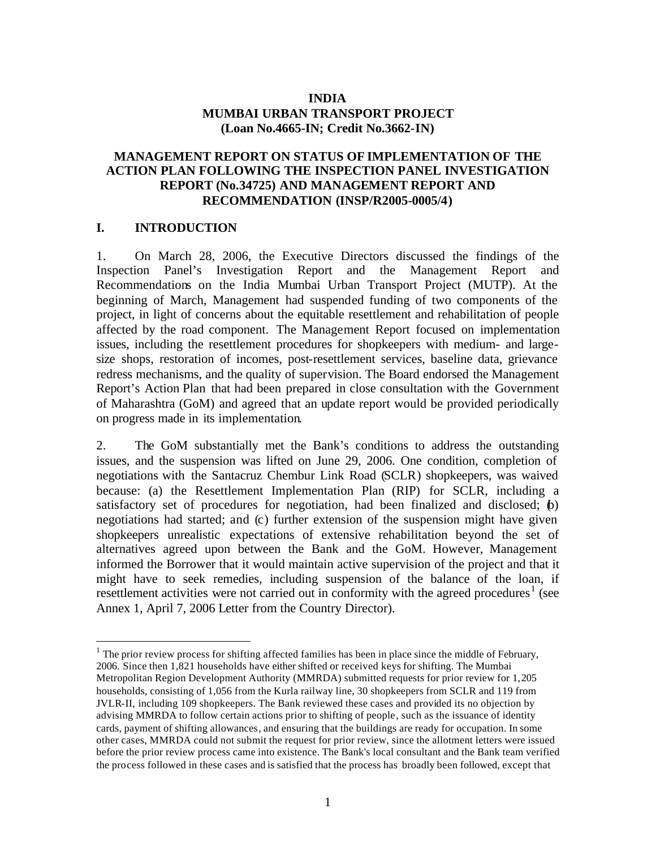#### **INDIA MUMBAI URBAN TRANSPORT PROJECT (Loan No.4665-IN; Credit No.3662-IN)**

#### **MANAGEMENT REPORT ON STATUS OF IMPLEMENTATION OF THE ACTION PLAN FOLLOWING THE INSPECTION PANEL INVESTIGATION REPORT (No.34725) AND MANAGEMENT REPORT AND RECOMMENDATION (INSP/R2005-0005/4)**

#### **I. INTRODUCTION**

 $\overline{a}$ 

1. On March 28, 2006, the Executive Directors discussed the findings of the Inspection Panel's Investigation Report and the Management Report and Recommendations on the India Mumbai Urban Transport Project (MUTP). At the beginning of March, Management had suspended funding of two components of the project, in light of concerns about the equitable resettlement and rehabilitation of people affected by the road component. The Management Report focused on implementation issues, including the resettlement procedures for shopkeepers with medium- and largesize shops, restoration of incomes, post-resettlement services, baseline data, grievance redress mechanisms, and the quality of supervision. The Board endorsed the Management Report's Action Plan that had been prepared in close consultation with the Government of Maharashtra (GoM) and agreed that an update report would be provided periodically on progress made in its implementation.

2. The GoM substantially met the Bank's conditions to address the outstanding issues, and the suspension was lifted on June 29, 2006. One condition, completion of negotiations with the Santacruz Chembur Link Road (SCLR) shopkeepers, was waived because: (a) the Resettlement Implementation Plan (RIP) for SCLR, including a satisfactory set of procedures for negotiation, had been finalized and disclosed; (b) negotiations had started; and (c) further extension of the suspension might have given shopkeepers unrealistic expectations of extensive rehabilitation beyond the set of alternatives agreed upon between the Bank and the GoM. However, Management informed the Borrower that it would maintain active supervision of the project and that it might have to seek remedies, including suspension of the balance of the loan, if resettlement activities were not carried out in conformity with the agreed procedures<sup>1</sup> (see Annex 1, April 7, 2006 Letter from the Country Director).

 $<sup>1</sup>$  The prior review process for shifting affected families has been in place since the middle of February,</sup> 2006. Since then 1,821 households have either shifted or received keys for shifting. The Mumbai Metropolitan Region Development Authority (MMRDA) submitted requests for prior review for 1,205 households, consisting of 1,056 from the Kurla railway line, 30 shopkeepers from SCLR and 119 from JVLR-II, including 109 shopkeepers. The Bank reviewed these cases and provided its no objection by advising MMRDA to follow certain actions prior to shifting of people, such as the issuance of identity cards, payment of shifting allowances, and ensuring that the buildings are ready for occupation. In some other cases, MMRDA could not submit the request for prior review, since the allotment letters were issued before the prior review process came into existence. The Bank's local consultant and the Bank team verified the process followed in these cases and is satisfied that the process has broadly been followed, except that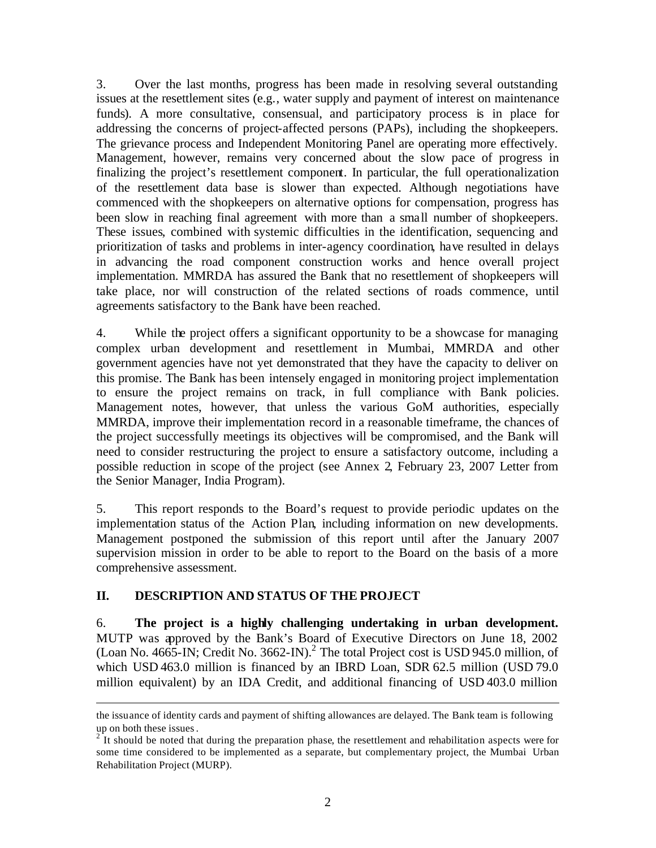3. Over the last months, progress has been made in resolving several outstanding issues at the resettlement sites (e.g., water supply and payment of interest on maintenance funds). A more consultative, consensual, and participatory process is in place for addressing the concerns of project-affected persons (PAPs), including the shopkeepers. The grievance process and Independent Monitoring Panel are operating more effectively. Management, however, remains very concerned about the slow pace of progress in finalizing the project's resettlement component. In particular, the full operationalization of the resettlement data base is slower than expected. Although negotiations have commenced with the shopkeepers on alternative options for compensation, progress has been slow in reaching final agreement with more than a small number of shopkeepers. These issues, combined with systemic difficulties in the identification, sequencing and prioritization of tasks and problems in inter-agency coordination, have resulted in delays in advancing the road component construction works and hence overall project implementation. MMRDA has assured the Bank that no resettlement of shopkeepers will take place, nor will construction of the related sections of roads commence, until agreements satisfactory to the Bank have been reached.

4. While the project offers a significant opportunity to be a showcase for managing complex urban development and resettlement in Mumbai, MMRDA and other government agencies have not yet demonstrated that they have the capacity to deliver on this promise. The Bank has been intensely engaged in monitoring project implementation to ensure the project remains on track, in full compliance with Bank policies. Management notes, however, that unless the various GoM authorities, especially MMRDA, improve their implementation record in a reasonable timeframe, the chances of the project successfully meetings its objectives will be compromised, and the Bank will need to consider restructuring the project to ensure a satisfactory outcome, including a possible reduction in scope of the project (see Annex 2, February 23, 2007 Letter from the Senior Manager, India Program).

5. This report responds to the Board's request to provide periodic updates on the implementation status of the Action Plan, including information on new developments. Management postponed the submission of this report until after the January 2007 supervision mission in order to be able to report to the Board on the basis of a more comprehensive assessment.

## **II. DESCRIPTION AND STATUS OF THE PROJECT**

 $\overline{a}$ 

6. **The project is a highly challenging undertaking in urban development.** MUTP was approved by the Bank's Board of Executive Directors on June 18, 2002 (Loan No. 4665-IN; Credit No. 3662-IN).<sup>2</sup> The total Project cost is USD 945.0 million, of which USD 463.0 million is financed by an IBRD Loan, SDR 62.5 million (USD 79.0) million equivalent) by an IDA Credit, and additional financing of USD 403.0 million

the issuance of identity cards and payment of shifting allowances are delayed. The Bank team is following up on both these issues.

 $2<sup>2</sup>$  It should be noted that during the preparation phase, the resettlement and rehabilitation aspects were for some time considered to be implemented as a separate, but complementary project, the Mumbai Urban Rehabilitation Project (MURP).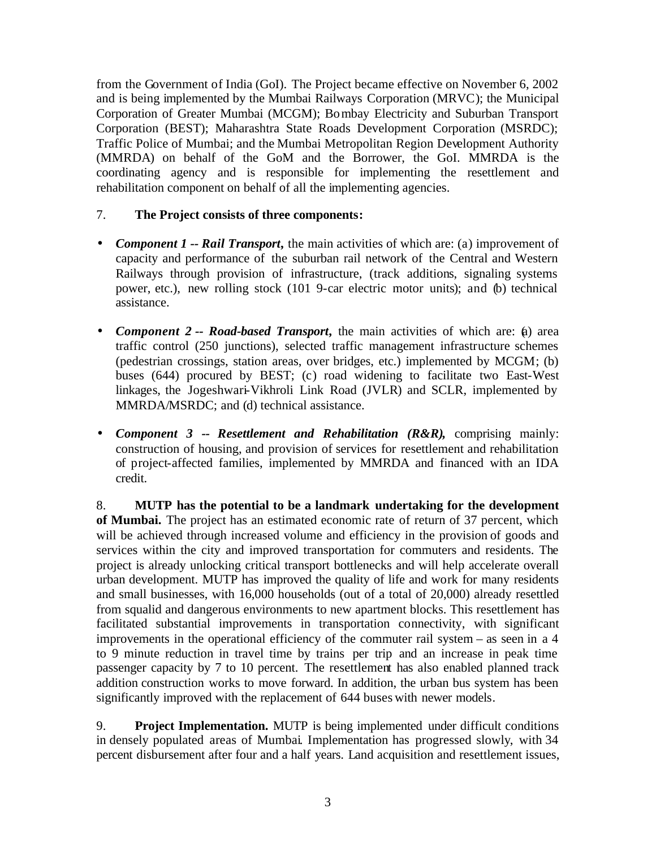from the Government of India (GoI). The Project became effective on November 6, 2002 and is being implemented by the Mumbai Railways Corporation (MRVC); the Municipal Corporation of Greater Mumbai (MCGM); Bombay Electricity and Suburban Transport Corporation (BEST); Maharashtra State Roads Development Corporation (MSRDC); Traffic Police of Mumbai; and the Mumbai Metropolitan Region Development Authority (MMRDA) on behalf of the GoM and the Borrower, the GoI. MMRDA is the coordinating agency and is responsible for implementing the resettlement and rehabilitation component on behalf of all the implementing agencies.

## 7. **The Project consists of three components:**

- *Component 1 -- Rail Transport,* the main activities of which are: (a) improvement of capacity and performance of the suburban rail network of the Central and Western Railways through provision of infrastructure, (track additions, signaling systems power, etc.), new rolling stock (101 9-car electric motor units); and (b) technical assistance.
- *Component 2 -- Road-based Transport*, the main activities of which are: (a) area traffic control (250 junctions), selected traffic management infrastructure schemes (pedestrian crossings, station areas, over bridges, etc.) implemented by MCGM; (b) buses (644) procured by BEST; (c) road widening to facilitate two East-West linkages, the Jogeshwari-Vikhroli Link Road (JVLR) and SCLR, implemented by MMRDA/MSRDC; and (d) technical assistance.
- *Component 3 -- Resettlement and Rehabilitation (R&R),* comprising mainly: construction of housing, and provision of services for resettlement and rehabilitation of project-affected families, implemented by MMRDA and financed with an IDA credit.

8. **MUTP has the potential to be a landmark undertaking for the development of Mumbai.** The project has an estimated economic rate of return of 37 percent, which will be achieved through increased volume and efficiency in the provision of goods and services within the city and improved transportation for commuters and residents. The project is already unlocking critical transport bottlenecks and will help accelerate overall urban development. MUTP has improved the quality of life and work for many residents and small businesses, with 16,000 households (out of a total of 20,000) already resettled from squalid and dangerous environments to new apartment blocks. This resettlement has facilitated substantial improvements in transportation connectivity, with significant improvements in the operational efficiency of the commuter rail system – as seen in a 4 to 9 minute reduction in travel time by trains per trip and an increase in peak time passenger capacity by 7 to 10 percent. The resettlement has also enabled planned track addition construction works to move forward. In addition, the urban bus system has been significantly improved with the replacement of 644 buses with newer models.

9. **Project Implementation.** MUTP is being implemented under difficult conditions in densely populated areas of Mumbai. Implementation has progressed slowly, with 34 percent disbursement after four and a half years. Land acquisition and resettlement issues,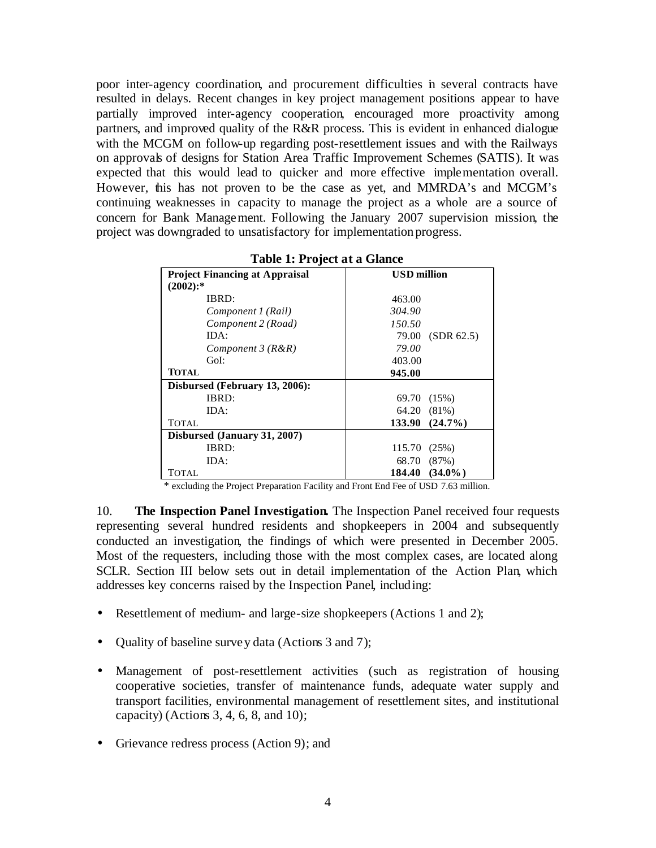poor inter-agency coordination, and procurement difficulties in several contracts have resulted in delays. Recent changes in key project management positions appear to have partially improved inter-agency cooperation, encouraged more proactivity among partners, and improved quality of the R&R process. This is evident in enhanced dialogue with the MCGM on follow-up regarding post-resettlement issues and with the Railways on approvals of designs for Station Area Traffic Improvement Schemes (SATIS). It was expected that this would lead to quicker and more effective implementation overall. However, this has not proven to be the case as yet, and MMRDA's and MCGM's continuing weaknesses in capacity to manage the project as a whole are a source of concern for Bank Management. Following the January 2007 supervision mission, the project was downgraded to unsatisfactory for implementation progress.

| <b>Project Financing at Appraisal</b> | <b>USD</b> million   |  |
|---------------------------------------|----------------------|--|
| $(2002)$ :*                           |                      |  |
| IBRD:                                 | 463.00               |  |
| Component 1 (Rail)                    | 304.90               |  |
| Component 2 (Road)                    | 150.50               |  |
| IDA:                                  | (SDR 62.5)<br>79.00  |  |
| Component $3(R\&R)$                   | 79.00                |  |
| GoI:                                  | 403.00               |  |
| <b>TOTAL</b>                          | 945.00               |  |
| Disbursed (February 13, 2006):        |                      |  |
| IBRD:                                 | 69.70 (15%)          |  |
| IDA:                                  | 64.20 (81%)          |  |
| TOTAL                                 | 133.90 (24.7%)       |  |
| Disbursed (January 31, 2007)          |                      |  |
| IBRD:                                 | 115.70<br>(25%)      |  |
| IDA:                                  | 68.70 (87%)          |  |
| TOTAL                                 | $(34.0\%)$<br>184.40 |  |

**Table 1: Project at a Glance**

\* excluding the Project Preparation Facility and Front End Fee of USD 7.63 million.

10. **The Inspection Panel Investigation.** The Inspection Panel received four requests representing several hundred residents and shopkeepers in 2004 and subsequently conducted an investigation, the findings of which were presented in December 2005. Most of the requesters, including those with the most complex cases, are located along SCLR. Section III below sets out in detail implementation of the Action Plan, which addresses key concerns raised by the Inspection Panel, including:

- Resettlement of medium- and large-size shopkeepers (Actions 1 and 2);
- Quality of baseline survey data (Actions 3 and 7);
- Management of post-resettlement activities (such as registration of housing cooperative societies, transfer of maintenance funds, adequate water supply and transport facilities, environmental management of resettlement sites, and institutional capacity) (Actions 3, 4, 6, 8, and 10);
- Grievance redress process (Action 9); and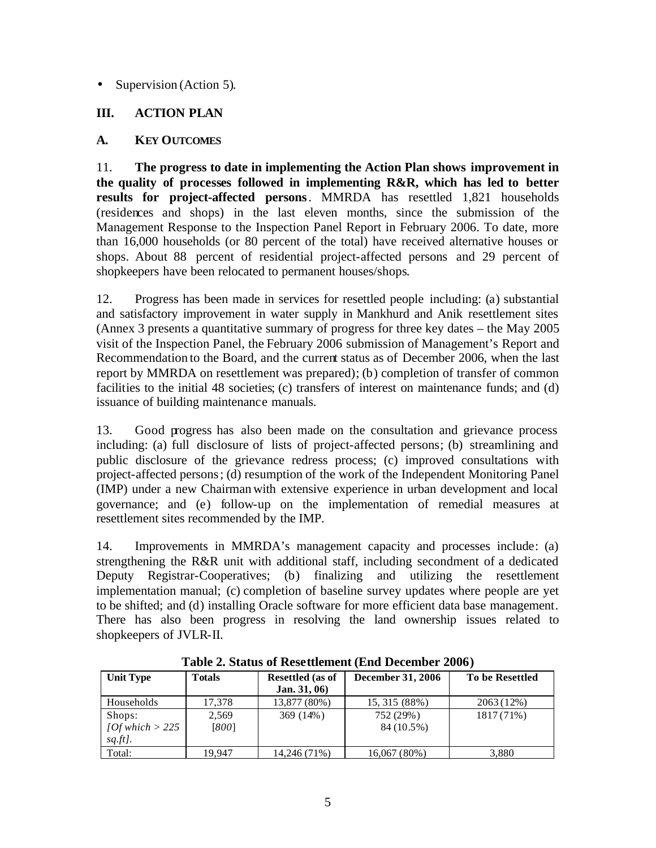### • Supervision (Action 5).

## **III. ACTION PLAN**

## **A. KEY OUTCOMES**

11. **The progress to date in implementing the Action Plan shows improvement in the quality of processes followed in implementing R&R, which has led to better results for project-affected persons**. MMRDA has resettled 1,821 households (residences and shops) in the last eleven months, since the submission of the Management Response to the Inspection Panel Report in February 2006. To date, more than 16,000 households (or 80 percent of the total) have received alternative houses or shops. About 88 percent of residential project-affected persons and 29 percent of shopkeepers have been relocated to permanent houses/shops.

12. Progress has been made in services for resettled people including: (a) substantial and satisfactory improvement in water supply in Mankhurd and Anik resettlement sites (Annex 3 presents a quantitative summary of progress for three key dates – the May 2005 visit of the Inspection Panel, the February 2006 submission of Management's Report and Recommendation to the Board, and the current status as of December 2006, when the last report by MMRDA on resettlement was prepared); (b) completion of transfer of common facilities to the initial 48 societies; (c) transfers of interest on maintenance funds; and (d) issuance of building maintenance manuals.

13. Good progress has also been made on the consultation and grievance process including: (a) full disclosure of lists of project-affected persons; (b) streamlining and public disclosure of the grievance redress process; (c) improved consultations with project-affected persons; (d) resumption of the work of the Independent Monitoring Panel (IMP) under a new Chairman with extensive experience in urban development and local governance; and (e) follow-up on the implementation of remedial measures at resettlement sites recommended by the IMP.

14. Improvements in MMRDA's management capacity and processes include: (a) strengthening the R&R unit with additional staff, including secondment of a dedicated Deputy Registrar-Cooperatives; (b) finalizing and utilizing the resettlement implementation manual; (c) completion of baseline survey updates where people are yet to be shifted; and (d) installing Oracle software for more efficient data base management. There has also been progress in resolving the land ownership issues related to shopkeepers of JVLR-II.

| Table 2. Status of Resettlement (End December 2000) |               |                         |                          |                        |
|-----------------------------------------------------|---------------|-------------------------|--------------------------|------------------------|
| Unit Type                                           | <b>Totals</b> | <b>Resettled</b> (as of | <b>December 31, 2006</b> | <b>To be Resettled</b> |
|                                                     |               | Jan. $31,06$            |                          |                        |
| Households                                          | 17.378        | 13,877 (80%)            | 15, 315 (88%)            | 2063 (12%)             |
| Shops:                                              | 2.569         | $369(14\%)$             | 752 (29%)                | 1817(71%)              |
| $10f$ which $> 225$                                 | [800]         |                         | 84 (10.5%)               |                        |
| $sq.ft$ .                                           |               |                         |                          |                        |
| Total:                                              | 19.947        | 14,246 (71%)            | 16,067(80%)              | 3.880                  |

**Table 2. Status of Resettlement (End December 2006)**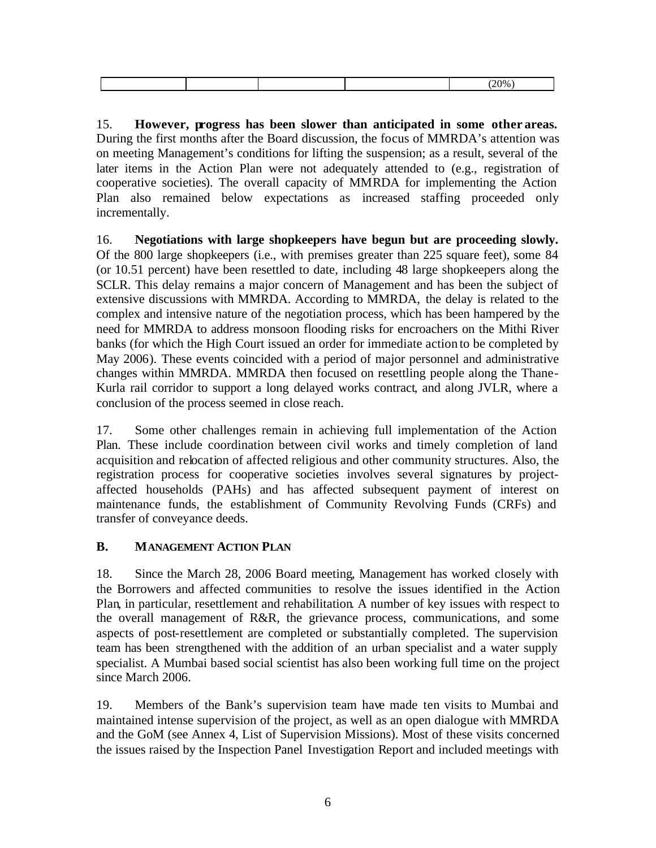| 200 <sub>6</sub><br> |
|----------------------|

15. **However, progress has been slower than anticipated in some other areas.**  During the first months after the Board discussion, the focus of MMRDA's attention was on meeting Management's conditions for lifting the suspension; as a result, several of the later items in the Action Plan were not adequately attended to (e.g., registration of cooperative societies). The overall capacity of MMRDA for implementing the Action Plan also remained below expectations as increased staffing proceeded only incrementally.

16. **Negotiations with large shopkeepers have begun but are proceeding slowly.** Of the 800 large shopkeepers (i.e., with premises greater than 225 square feet), some 84 (or 10.51 percent) have been resettled to date, including 48 large shopkeepers along the SCLR. This delay remains a major concern of Management and has been the subject of extensive discussions with MMRDA. According to MMRDA, the delay is related to the complex and intensive nature of the negotiation process, which has been hampered by the need for MMRDA to address monsoon flooding risks for encroachers on the Mithi River banks (for which the High Court issued an order for immediate action to be completed by May 2006). These events coincided with a period of major personnel and administrative changes within MMRDA. MMRDA then focused on resettling people along the Thane-Kurla rail corridor to support a long delayed works contract, and along JVLR, where a conclusion of the process seemed in close reach.

17. Some other challenges remain in achieving full implementation of the Action Plan. These include coordination between civil works and timely completion of land acquisition and relocation of affected religious and other community structures. Also, the registration process for cooperative societies involves several signatures by projectaffected households (PAHs) and has affected subsequent payment of interest on maintenance funds, the establishment of Community Revolving Funds (CRFs) and transfer of conveyance deeds.

## **B. MANAGEMENT ACTION PLAN**

18. Since the March 28, 2006 Board meeting, Management has worked closely with the Borrowers and affected communities to resolve the issues identified in the Action Plan, in particular, resettlement and rehabilitation. A number of key issues with respect to the overall management of R&R, the grievance process, communications, and some aspects of post-resettlement are completed or substantially completed. The supervision team has been strengthened with the addition of an urban specialist and a water supply specialist. A Mumbai based social scientist has also been working full time on the project since March 2006.

19. Members of the Bank's supervision team have made ten visits to Mumbai and maintained intense supervision of the project, as well as an open dialogue with MMRDA and the GoM (see Annex 4, List of Supervision Missions). Most of these visits concerned the issues raised by the Inspection Panel Investigation Report and included meetings with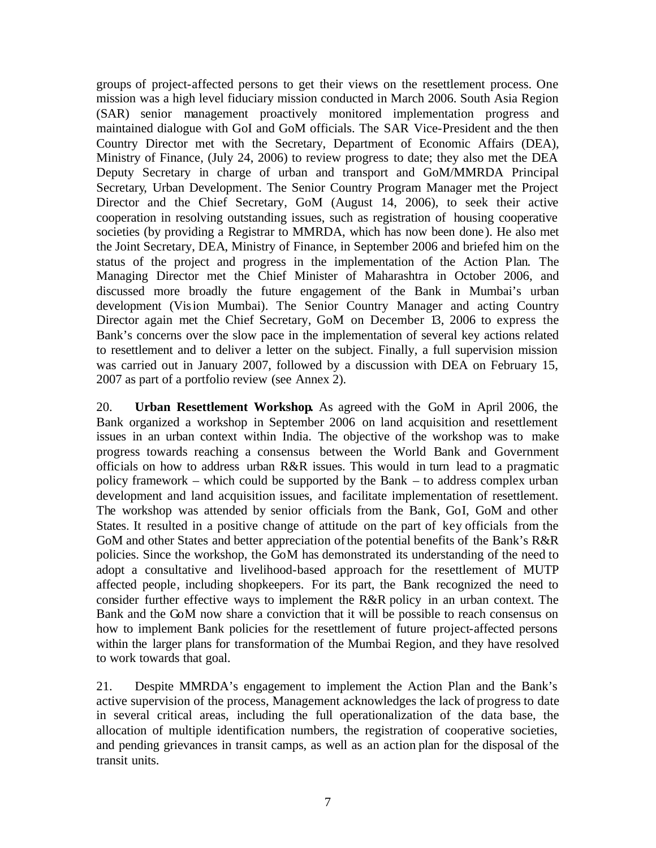groups of project-affected persons to get their views on the resettlement process. One mission was a high level fiduciary mission conducted in March 2006. South Asia Region (SAR) senior management proactively monitored implementation progress and maintained dialogue with GoI and GoM officials. The SAR Vice-President and the then Country Director met with the Secretary, Department of Economic Affairs (DEA), Ministry of Finance, (July 24, 2006) to review progress to date; they also met the DEA Deputy Secretary in charge of urban and transport and GoM/MMRDA Principal Secretary, Urban Development. The Senior Country Program Manager met the Project Director and the Chief Secretary, GoM (August 14, 2006), to seek their active cooperation in resolving outstanding issues, such as registration of housing cooperative societies (by providing a Registrar to MMRDA, which has now been done). He also met the Joint Secretary, DEA, Ministry of Finance, in September 2006 and briefed him on the status of the project and progress in the implementation of the Action Plan. The Managing Director met the Chief Minister of Maharashtra in October 2006, and discussed more broadly the future engagement of the Bank in Mumbai's urban development (Vision Mumbai). The Senior Country Manager and acting Country Director again met the Chief Secretary, GoM on December 13, 2006 to express the Bank's concerns over the slow pace in the implementation of several key actions related to resettlement and to deliver a letter on the subject. Finally, a full supervision mission was carried out in January 2007, followed by a discussion with DEA on February 15, 2007 as part of a portfolio review (see Annex 2).

20. **Urban Resettlement Workshop.** As agreed with the GoM in April 2006, the Bank organized a workshop in September 2006 on land acquisition and resettlement issues in an urban context within India. The objective of the workshop was to make progress towards reaching a consensus between the World Bank and Government officials on how to address urban R&R issues. This would in turn lead to a pragmatic policy framework – which could be supported by the Bank – to address complex urban development and land acquisition issues, and facilitate implementation of resettlement. The workshop was attended by senior officials from the Bank, GoI, GoM and other States. It resulted in a positive change of attitude on the part of key officials from the GoM and other States and better appreciation of the potential benefits of the Bank's R&R policies. Since the workshop, the GoM has demonstrated its understanding of the need to adopt a consultative and livelihood-based approach for the resettlement of MUTP affected people, including shopkeepers. For its part, the Bank recognized the need to consider further effective ways to implement the R&R policy in an urban context. The Bank and the GoM now share a conviction that it will be possible to reach consensus on how to implement Bank policies for the resettlement of future project-affected persons within the larger plans for transformation of the Mumbai Region, and they have resolved to work towards that goal.

21. Despite MMRDA's engagement to implement the Action Plan and the Bank's active supervision of the process, Management acknowledges the lack of progress to date in several critical areas, including the full operationalization of the data base, the allocation of multiple identification numbers, the registration of cooperative societies, and pending grievances in transit camps, as well as an action plan for the disposal of the transit units.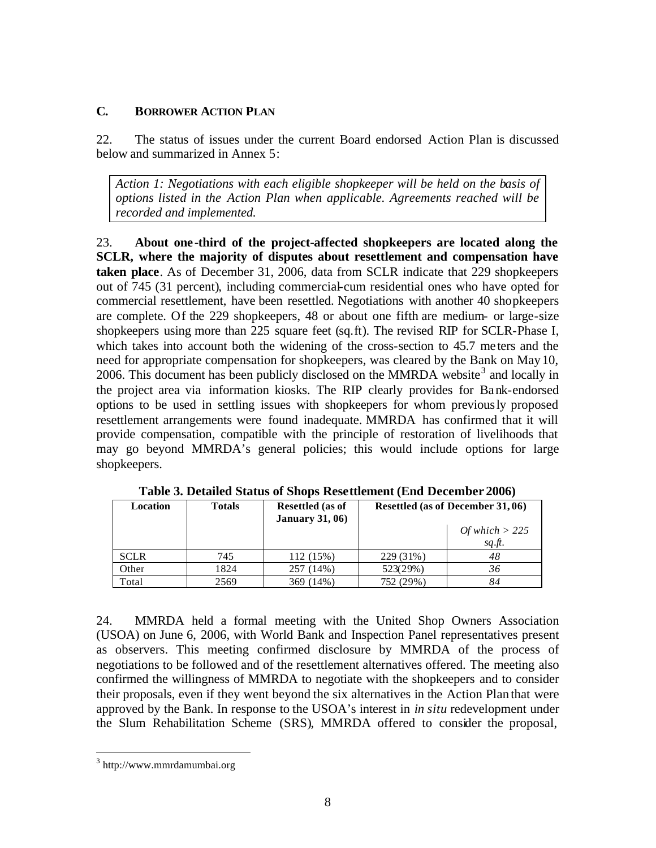#### **C. BORROWER ACTION PLAN**

22. The status of issues under the current Board endorsed Action Plan is discussed below and summarized in Annex 5:

*Action 1: Negotiations with each eligible shopkeeper will be held on the basis of options listed in the Action Plan when applicable. Agreements reached will be recorded and implemented.* 

23. **About one -third of the project-affected shopkeepers are located along the SCLR, where the majority of disputes about resettlement and compensation have taken place**. As of December 31, 2006, data from SCLR indicate that 229 shopkeepers out of 745 (31 percent), including commercial-cum residential ones who have opted for commercial resettlement, have been resettled. Negotiations with another 40 shopkeepers are complete. Of the 229 shopkeepers, 48 or about one fifth are medium- or large-size shopkeepers using more than 225 square feet (sq.ft). The revised RIP for SCLR-Phase I, which takes into account both the widening of the cross-section to 45.7 me ters and the need for appropriate compensation for shopkeepers, was cleared by the Bank on May 10, 2006. This document has been publicly disclosed on the MMRDA website<sup>3</sup> and locally in the project area via information kiosks. The RIP clearly provides for Bank-endorsed options to be used in settling issues with shopkeepers for whom previously proposed resettlement arrangements were found inadequate. MMRDA has confirmed that it will provide compensation, compatible with the principle of restoration of livelihoods that may go beyond MMRDA's general policies; this would include options for large shopkeepers.

| Location    | <b>Totals</b> | <b>Resettled</b> (as of<br><b>January 31, 06</b> ) |           | Resettled (as of December 31,06) |
|-------------|---------------|----------------------------------------------------|-----------|----------------------------------|
|             |               |                                                    |           | Of which $>$ 225                 |
|             |               |                                                    |           | sq.ft.                           |
| <b>SCLR</b> | 745           | 112(15%)                                           | 229 (31%) | 48                               |
| Other       | 1824          | 257 (14%)                                          | 523(29%)  | 36                               |
| Total       | 2569          | 369 (14%)                                          | 752 (29%) | 84                               |

**Table 3. Detailed Status of Shops Resettlement (End December 2006)**

24. MMRDA held a formal meeting with the United Shop Owners Association (USOA) on June 6, 2006, with World Bank and Inspection Panel representatives present as observers. This meeting confirmed disclosure by MMRDA of the process of negotiations to be followed and of the resettlement alternatives offered. The meeting also confirmed the willingness of MMRDA to negotiate with the shopkeepers and to consider their proposals, even if they went beyond the six alternatives in the Action Plan that were approved by the Bank. In response to the USOA's interest in *in situ* redevelopment under the Slum Rehabilitation Scheme (SRS), MMRDA offered to consider the proposal,

 $\overline{a}$ 

<sup>&</sup>lt;sup>3</sup> http://www.mmrdamumbai.org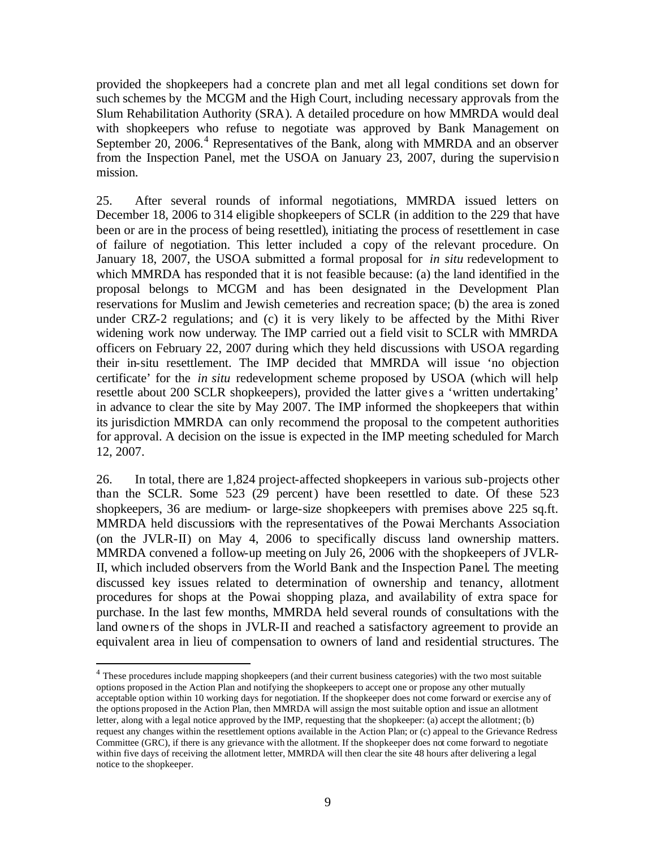provided the shopkeepers had a concrete plan and met all legal conditions set down for such schemes by the MCGM and the High Court, including necessary approvals from the Slum Rehabilitation Authority (SRA). A detailed procedure on how MMRDA would deal with shopkeepers who refuse to negotiate was approved by Bank Management on September 20, 2006.<sup>4</sup> Representatives of the Bank, along with MMRDA and an observer from the Inspection Panel, met the USOA on January 23, 2007, during the supervision mission.

25. After several rounds of informal negotiations, MMRDA issued letters on December 18, 2006 to 314 eligible shopkeepers of SCLR (in addition to the 229 that have been or are in the process of being resettled), initiating the process of resettlement in case of failure of negotiation. This letter included a copy of the relevant procedure. On January 18, 2007, the USOA submitted a formal proposal for *in situ* redevelopment to which MMRDA has responded that it is not feasible because: (a) the land identified in the proposal belongs to MCGM and has been designated in the Development Plan reservations for Muslim and Jewish cemeteries and recreation space; (b) the area is zoned under CRZ-2 regulations; and (c) it is very likely to be affected by the Mithi River widening work now underway. The IMP carried out a field visit to SCLR with MMRDA officers on February 22, 2007 during which they held discussions with USOA regarding their in-situ resettlement. The IMP decided that MMRDA will issue 'no objection certificate' for the *in situ* redevelopment scheme proposed by USOA (which will help resettle about 200 SCLR shopkeepers), provided the latter give s a 'written undertaking' in advance to clear the site by May 2007. The IMP informed the shopkeepers that within its jurisdiction MMRDA can only recommend the proposal to the competent authorities for approval. A decision on the issue is expected in the IMP meeting scheduled for March 12, 2007.

26. In total, there are 1,824 project-affected shopkeepers in various sub-projects other than the SCLR. Some 523 (29 percent) have been resettled to date. Of these 523 shopkeepers, 36 are medium- or large-size shopkeepers with premises above 225 sq.ft. MMRDA held discussions with the representatives of the Powai Merchants Association (on the JVLR-II) on May 4, 2006 to specifically discuss land ownership matters. MMRDA convened a follow-up meeting on July 26, 2006 with the shopkeepers of JVLR-II, which included observers from the World Bank and the Inspection Panel. The meeting discussed key issues related to determination of ownership and tenancy, allotment procedures for shops at the Powai shopping plaza, and availability of extra space for purchase. In the last few months, MMRDA held several rounds of consultations with the land owners of the shops in JVLR-II and reached a satisfactory agreement to provide an equivalent area in lieu of compensation to owners of land and residential structures. The

 $\overline{a}$ 

<sup>&</sup>lt;sup>4</sup> These procedures include mapping shopkeepers (and their current business categories) with the two most suitable options proposed in the Action Plan and notifying the shopkeepers to accept one or propose any other mutually acceptable option within 10 working days for negotiation. If the shopkeeper does not come forward or exercise any of the options proposed in the Action Plan, then MMRDA will assign the most suitable option and issue an allotment letter, along with a legal notice approved by the IMP, requesting that the shopkeeper: (a) accept the allotment; (b) request any changes within the resettlement options available in the Action Plan; or (c) appeal to the Grievance Redress Committee (GRC), if there is any grievance with the allotment. If the shopkeeper does not come forward to negotiate within five days of receiving the allotment letter, MMRDA will then clear the site 48 hours after delivering a legal notice to the shopkeeper.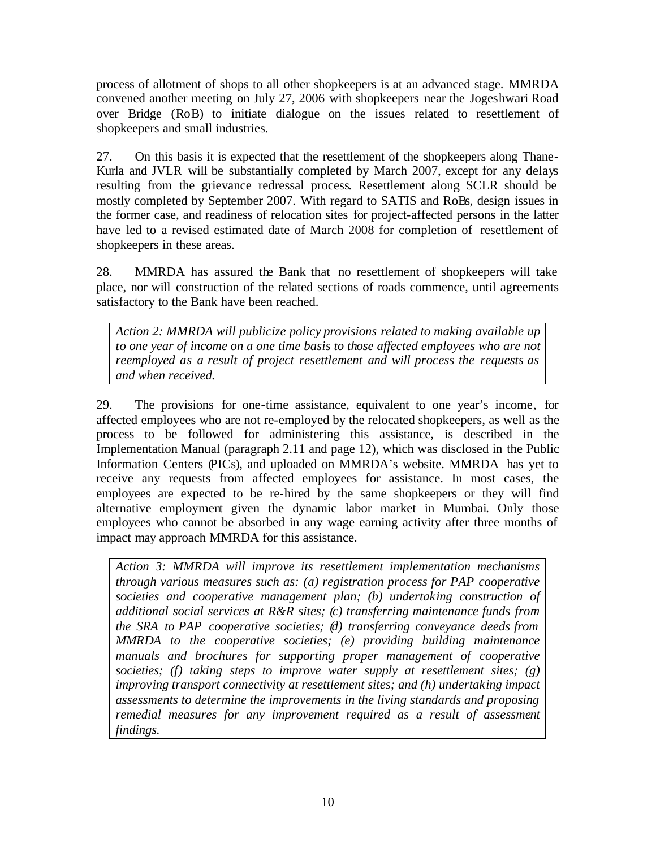process of allotment of shops to all other shopkeepers is at an advanced stage. MMRDA convened another meeting on July 27, 2006 with shopkeepers near the Jogeshwari Road over Bridge (RoB) to initiate dialogue on the issues related to resettlement of shopkeepers and small industries.

27. On this basis it is expected that the resettlement of the shopkeepers along Thane-Kurla and JVLR will be substantially completed by March 2007, except for any delays resulting from the grievance redressal process. Resettlement along SCLR should be mostly completed by September 2007. With regard to SATIS and RoBs, design issues in the former case, and readiness of relocation sites for project-affected persons in the latter have led to a revised estimated date of March 2008 for completion of resettlement of shopkeepers in these areas.

28. MMRDA has assured the Bank that no resettlement of shopkeepers will take place, nor will construction of the related sections of roads commence, until agreements satisfactory to the Bank have been reached.

*Action 2: MMRDA will publicize policy provisions related to making available up to one year of income on a one time basis to those affected employees who are not reemployed as a result of project resettlement and will process the requests as and when received.*

29. The provisions for one-time assistance, equivalent to one year's income, for affected employees who are not re-employed by the relocated shopkeepers, as well as the process to be followed for administering this assistance, is described in the Implementation Manual (paragraph 2.11 and page 12), which was disclosed in the Public Information Centers (PICs), and uploaded on MMRDA's website. MMRDA has yet to receive any requests from affected employees for assistance. In most cases, the employees are expected to be re-hired by the same shopkeepers or they will find alternative employment given the dynamic labor market in Mumbai. Only those employees who cannot be absorbed in any wage earning activity after three months of impact may approach MMRDA for this assistance.

*Action 3: MMRDA will improve its resettlement implementation mechanisms through various measures such as: (a) registration process for PAP cooperative societies and cooperative management plan; (b) undertaking construction of additional social services at R&R sites; (c) transferring maintenance funds from the SRA to PAP cooperative societies; (d) transferring conveyance deeds from MMRDA to the cooperative societies; (e) providing building maintenance manuals and brochures for supporting proper management of cooperative societies; (f) taking steps to improve water supply at resettlement sites; (g) improving transport connectivity at resettlement sites; and (h) undertaking impact assessments to determine the improvements in the living standards and proposing remedial measures for any improvement required as a result of assessment findings.*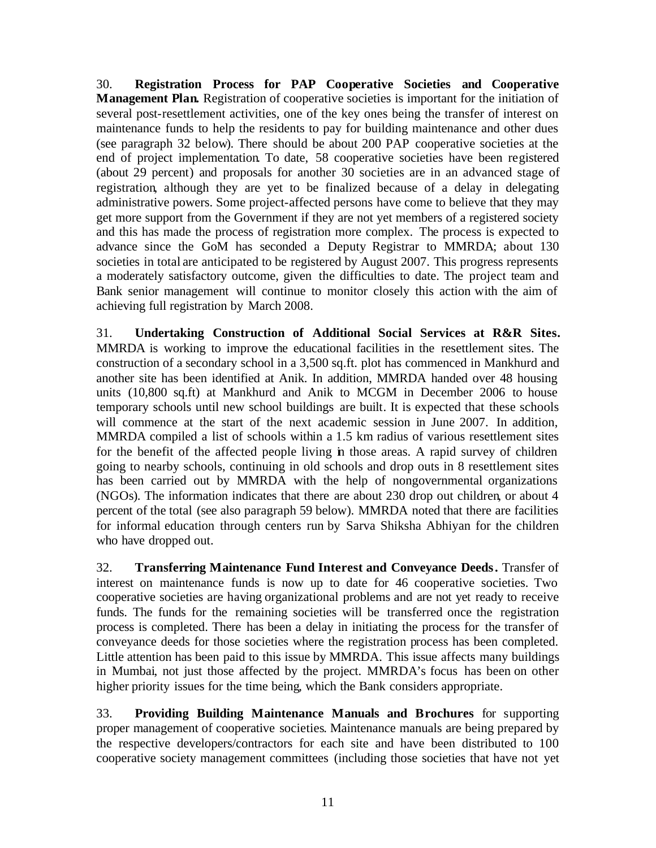30. **Registration Process for PAP Cooperative Societies and Cooperative Management Plan.** Registration of cooperative societies is important for the initiation of several post-resettlement activities, one of the key ones being the transfer of interest on maintenance funds to help the residents to pay for building maintenance and other dues (see paragraph 32 below). There should be about 200 PAP cooperative societies at the end of project implementation. To date, 58 cooperative societies have been registered (about 29 percent) and proposals for another 30 societies are in an advanced stage of registration, although they are yet to be finalized because of a delay in delegating administrative powers. Some project-affected persons have come to believe that they may get more support from the Government if they are not yet members of a registered society and this has made the process of registration more complex. The process is expected to advance since the GoM has seconded a Deputy Registrar to MMRDA; about 130 societies in total are anticipated to be registered by August 2007. This progress represents a moderately satisfactory outcome, given the difficulties to date. The project team and Bank senior management will continue to monitor closely this action with the aim of achieving full registration by March 2008.

31. **Undertaking Construction of Additional Social Services at R&R Sites.** MMRDA is working to improve the educational facilities in the resettlement sites. The construction of a secondary school in a 3,500 sq.ft. plot has commenced in Mankhurd and another site has been identified at Anik. In addition, MMRDA handed over 48 housing units (10,800 sq.ft) at Mankhurd and Anik to MCGM in December 2006 to house temporary schools until new school buildings are built. It is expected that these schools will commence at the start of the next academic session in June 2007. In addition, MMRDA compiled a list of schools within a 1.5 km radius of various resettlement sites for the benefit of the affected people living in those areas. A rapid survey of children going to nearby schools, continuing in old schools and drop outs in 8 resettlement sites has been carried out by MMRDA with the help of nongovernmental organizations (NGOs). The information indicates that there are about 230 drop out children, or about 4 percent of the total (see also paragraph 59 below). MMRDA noted that there are facilities for informal education through centers run by Sarva Shiksha Abhiyan for the children who have dropped out.

32. **Transferring Maintenance Fund Interest and Conveyance Deeds.** Transfer of interest on maintenance funds is now up to date for 46 cooperative societies. Two cooperative societies are having organizational problems and are not yet ready to receive funds. The funds for the remaining societies will be transferred once the registration process is completed. There has been a delay in initiating the process for the transfer of conveyance deeds for those societies where the registration process has been completed. Little attention has been paid to this issue by MMRDA. This issue affects many buildings in Mumbai, not just those affected by the project. MMRDA's focus has been on other higher priority issues for the time being, which the Bank considers appropriate.

33. **Providing Building Maintenance Manuals and Brochures** for supporting proper management of cooperative societies. Maintenance manuals are being prepared by the respective developers/contractors for each site and have been distributed to 100 cooperative society management committees (including those societies that have not yet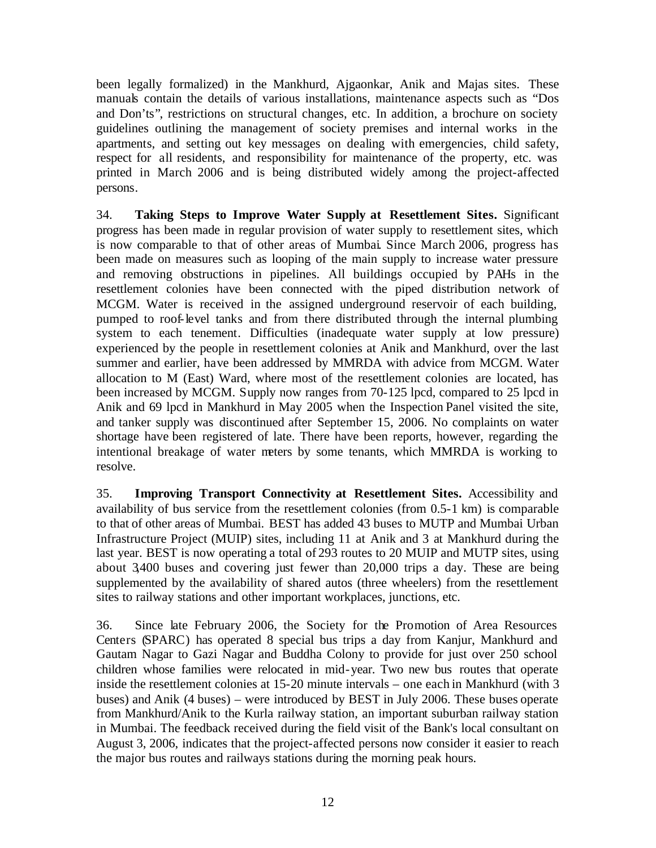been legally formalized) in the Mankhurd, Ajgaonkar, Anik and Majas sites. These manuals contain the details of various installations, maintenance aspects such as "Dos and Don'ts", restrictions on structural changes, etc. In addition, a brochure on society guidelines outlining the management of society premises and internal works in the apartments, and setting out key messages on dealing with emergencies, child safety, respect for all residents, and responsibility for maintenance of the property, etc. was printed in March 2006 and is being distributed widely among the project-affected persons.

34. **Taking Steps to Improve Water Supply at Resettlement Sites.** Significant progress has been made in regular provision of water supply to resettlement sites, which is now comparable to that of other areas of Mumbai. Since March 2006, progress has been made on measures such as looping of the main supply to increase water pressure and removing obstructions in pipelines. All buildings occupied by PAHs in the resettlement colonies have been connected with the piped distribution network of MCGM. Water is received in the assigned underground reservoir of each building, pumped to roof-level tanks and from there distributed through the internal plumbing system to each tenement. Difficulties (inadequate water supply at low pressure) experienced by the people in resettlement colonies at Anik and Mankhurd, over the last summer and earlier, have been addressed by MMRDA with advice from MCGM. Water allocation to M (East) Ward, where most of the resettlement colonies are located, has been increased by MCGM. Supply now ranges from 70-125 lpcd, compared to 25 lpcd in Anik and 69 lpcd in Mankhurd in May 2005 when the Inspection Panel visited the site, and tanker supply was discontinued after September 15, 2006. No complaints on water shortage have been registered of late. There have been reports, however, regarding the intentional breakage of water meters by some tenants, which MMRDA is working to resolve.

35. **Improving Transport Connectivity at Resettlement Sites.** Accessibility and availability of bus service from the resettlement colonies (from 0.5-1 km) is comparable to that of other areas of Mumbai. BEST has added 43 buses to MUTP and Mumbai Urban Infrastructure Project (MUIP) sites, including 11 at Anik and 3 at Mankhurd during the last year. BEST is now operating a total of 293 routes to 20 MUIP and MUTP sites, using about 3,400 buses and covering just fewer than 20,000 trips a day. These are being supplemented by the availability of shared autos (three wheelers) from the resettlement sites to railway stations and other important workplaces, junctions, etc.

36. Since late February 2006, the Society for the Promotion of Area Resources Centers (SPARC) has operated 8 special bus trips a day from Kanjur, Mankhurd and Gautam Nagar to Gazi Nagar and Buddha Colony to provide for just over 250 school children whose families were relocated in mid-year. Two new bus routes that operate inside the resettlement colonies at 15-20 minute intervals – one each in Mankhurd (with 3 buses) and Anik (4 buses) – were introduced by BEST in July 2006. These buses operate from Mankhurd/Anik to the Kurla railway station, an important suburban railway station in Mumbai. The feedback received during the field visit of the Bank's local consultant on August 3, 2006, indicates that the project-affected persons now consider it easier to reach the major bus routes and railways stations during the morning peak hours.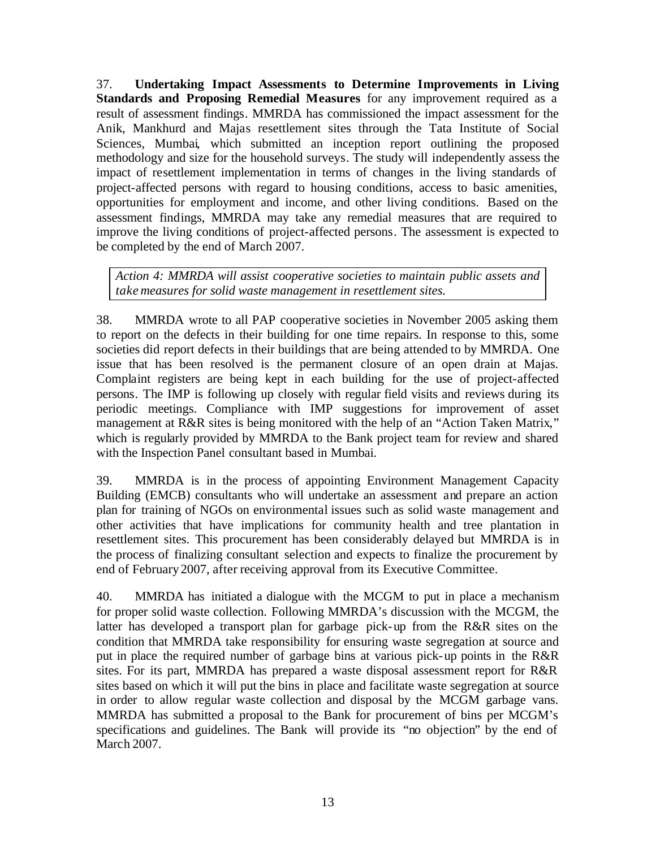37. **Undertaking Impact Assessments to Determine Improvements in Living Standards and Proposing Remedial Measures** for any improvement required as a result of assessment findings. MMRDA has commissioned the impact assessment for the Anik, Mankhurd and Majas resettlement sites through the Tata Institute of Social Sciences, Mumbai, which submitted an inception report outlining the proposed methodology and size for the household surveys. The study will independently assess the impact of resettlement implementation in terms of changes in the living standards of project-affected persons with regard to housing conditions, access to basic amenities, opportunities for employment and income, and other living conditions. Based on the assessment findings, MMRDA may take any remedial measures that are required to improve the living conditions of project-affected persons. The assessment is expected to be completed by the end of March 2007.

*Action 4: MMRDA will assist cooperative societies to maintain public assets and take measures for solid waste management in resettlement sites.* 

38. MMRDA wrote to all PAP cooperative societies in November 2005 asking them to report on the defects in their building for one time repairs. In response to this, some societies did report defects in their buildings that are being attended to by MMRDA. One issue that has been resolved is the permanent closure of an open drain at Majas. Complaint registers are being kept in each building for the use of project-affected persons. The IMP is following up closely with regular field visits and reviews during its periodic meetings. Compliance with IMP suggestions for improvement of asset management at R&R sites is being monitored with the help of an "Action Taken Matrix," which is regularly provided by MMRDA to the Bank project team for review and shared with the Inspection Panel consultant based in Mumbai.

39. MMRDA is in the process of appointing Environment Management Capacity Building (EMCB) consultants who will undertake an assessment and prepare an action plan for training of NGOs on environmental issues such as solid waste management and other activities that have implications for community health and tree plantation in resettlement sites. This procurement has been considerably delayed but MMRDA is in the process of finalizing consultant selection and expects to finalize the procurement by end of February 2007, after receiving approval from its Executive Committee.

40. MMRDA has initiated a dialogue with the MCGM to put in place a mechanism for proper solid waste collection. Following MMRDA's discussion with the MCGM, the latter has developed a transport plan for garbage pick-up from the R&R sites on the condition that MMRDA take responsibility for ensuring waste segregation at source and put in place the required number of garbage bins at various pick-up points in the R&R sites. For its part, MMRDA has prepared a waste disposal assessment report for R&R sites based on which it will put the bins in place and facilitate waste segregation at source in order to allow regular waste collection and disposal by the MCGM garbage vans. MMRDA has submitted a proposal to the Bank for procurement of bins per MCGM's specifications and guidelines. The Bank will provide its "no objection" by the end of March 2007.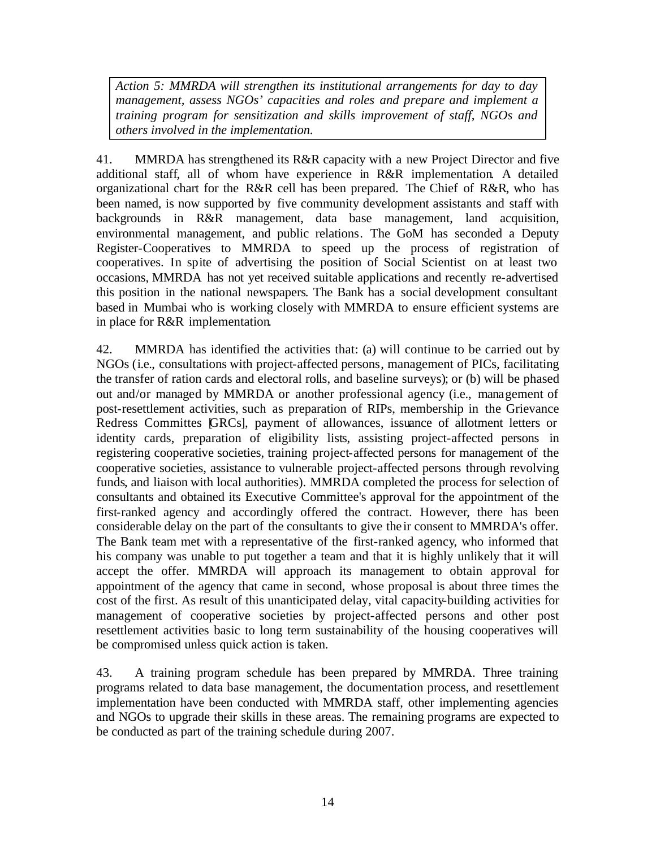*Action 5: MMRDA will strengthen its institutional arrangements for day to day management, assess NGOs' capacities and roles and prepare and implement a training program for sensitization and skills improvement of staff, NGOs and others involved in the implementation.*

41. MMRDA has strengthened its R&R capacity with a new Project Director and five additional staff, all of whom have experience in R&R implementation. A detailed organizational chart for the R&R cell has been prepared. The Chief of R&R, who has been named, is now supported by five community development assistants and staff with backgrounds in R&R management, data base management, land acquisition, environmental management, and public relations. The GoM has seconded a Deputy Register-Cooperatives to MMRDA to speed up the process of registration of cooperatives. In spite of advertising the position of Social Scientist on at least two occasions, MMRDA has not yet received suitable applications and recently re-advertised this position in the national newspapers. The Bank has a social development consultant based in Mumbai who is working closely with MMRDA to ensure efficient systems are in place for R&R implementation.

42. MMRDA has identified the activities that: (a) will continue to be carried out by NGOs (i.e., consultations with project-affected persons, management of PICs, facilitating the transfer of ration cards and electoral rolls, and baseline surveys); or (b) will be phased out and/or managed by MMRDA or another professional agency (i.e., management of post-resettlement activities, such as preparation of RIPs, membership in the Grievance Redress Committes [GRCs], payment of allowances, issuance of allotment letters or identity cards, preparation of eligibility lists, assisting project-affected persons in registering cooperative societies, training project-affected persons for management of the cooperative societies, assistance to vulnerable project-affected persons through revolving funds, and liaison with local authorities). MMRDA completed the process for selection of consultants and obtained its Executive Committee's approval for the appointment of the first-ranked agency and accordingly offered the contract. However, there has been considerable delay on the part of the consultants to give the ir consent to MMRDA's offer. The Bank team met with a representative of the first-ranked agency, who informed that his company was unable to put together a team and that it is highly unlikely that it will accept the offer. MMRDA will approach its management to obtain approval for appointment of the agency that came in second, whose proposal is about three times the cost of the first. As result of this unanticipated delay, vital capacity-building activities for management of cooperative societies by project-affected persons and other post resettlement activities basic to long term sustainability of the housing cooperatives will be compromised unless quick action is taken.

43. A training program schedule has been prepared by MMRDA. Three training programs related to data base management, the documentation process, and resettlement implementation have been conducted with MMRDA staff, other implementing agencies and NGOs to upgrade their skills in these areas. The remaining programs are expected to be conducted as part of the training schedule during 2007.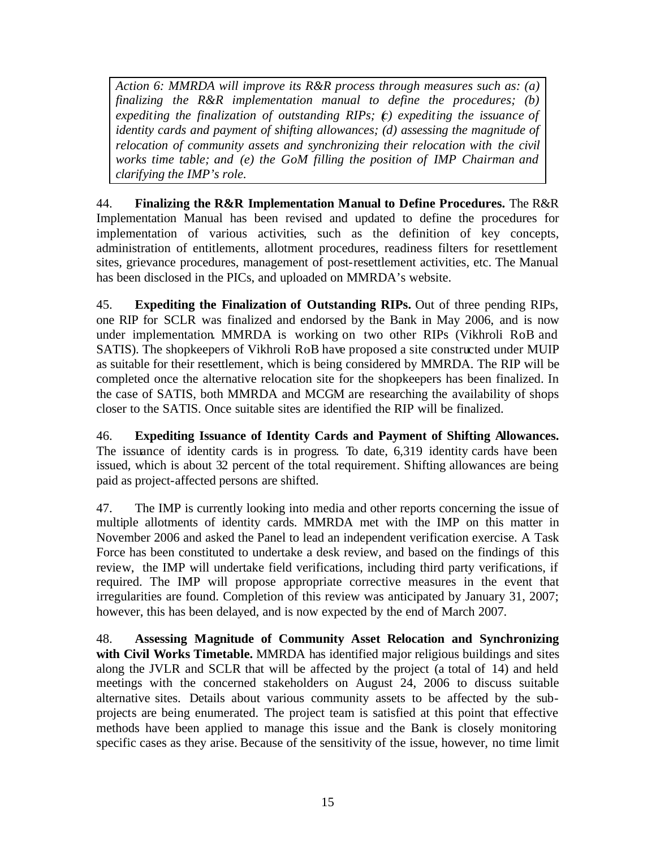*Action 6: MMRDA will improve its R&R process through measures such as: (a) finalizing the R&R implementation manual to define the procedures; (b) expediting the finalization of outstanding RIPs; (c) expediting the issuance of identity cards and payment of shifting allowances; (d) assessing the magnitude of relocation of community assets and synchronizing their relocation with the civil works time table; and (e) the GoM filling the position of IMP Chairman and clarifying the IMP's role.* 

44. **Finalizing the R&R Implementation Manual to Define Procedures.** The R&R Implementation Manual has been revised and updated to define the procedures for implementation of various activities, such as the definition of key concepts, administration of entitlements, allotment procedures, readiness filters for resettlement sites, grievance procedures, management of post-resettlement activities, etc. The Manual has been disclosed in the PICs, and uploaded on MMRDA's website.

45. **Expediting the Finalization of Outstanding RIPs.** Out of three pending RIPs, one RIP for SCLR was finalized and endorsed by the Bank in May 2006, and is now under implementation. MMRDA is working on two other RIPs (Vikhroli RoB and SATIS). The shopkeepers of Vikhroli RoB have proposed a site constructed under MUIP as suitable for their resettlement, which is being considered by MMRDA. The RIP will be completed once the alternative relocation site for the shopkeepers has been finalized. In the case of SATIS, both MMRDA and MCGM are researching the availability of shops closer to the SATIS. Once suitable sites are identified the RIP will be finalized.

46. **Expediting Issuance of Identity Cards and Payment of Shifting Allowances.**  The issuance of identity cards is in progress. To date, 6,319 identity cards have been issued, which is about 32 percent of the total requirement. Shifting allowances are being paid as project-affected persons are shifted.

47. The IMP is currently looking into media and other reports concerning the issue of multiple allotments of identity cards. MMRDA met with the IMP on this matter in November 2006 and asked the Panel to lead an independent verification exercise. A Task Force has been constituted to undertake a desk review, and based on the findings of this review, the IMP will undertake field verifications, including third party verifications, if required. The IMP will propose appropriate corrective measures in the event that irregularities are found. Completion of this review was anticipated by January 31, 2007; however, this has been delayed, and is now expected by the end of March 2007.

48. **Assessing Magnitude of Community Asset Relocation and Synchronizing with Civil Works Timetable.** MMRDA has identified major religious buildings and sites along the JVLR and SCLR that will be affected by the project (a total of 14) and held meetings with the concerned stakeholders on August 24, 2006 to discuss suitable alternative sites. Details about various community assets to be affected by the subprojects are being enumerated. The project team is satisfied at this point that effective methods have been applied to manage this issue and the Bank is closely monitoring specific cases as they arise. Because of the sensitivity of the issue, however, no time limit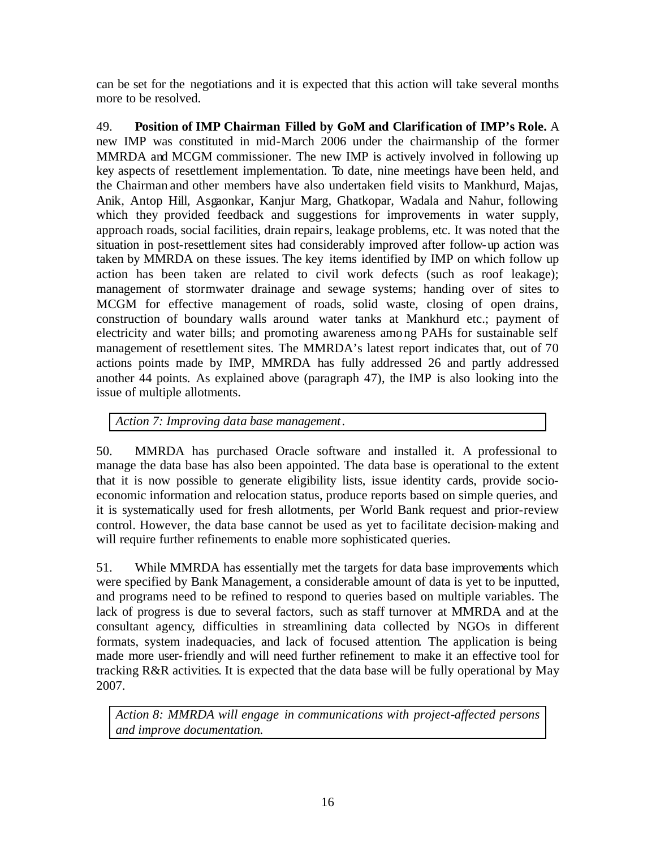can be set for the negotiations and it is expected that this action will take several months more to be resolved.

49. **Position of IMP Chairman Filled by GoM and Clarification of IMP's Role.** A new IMP was constituted in mid-March 2006 under the chairmanship of the former MMRDA and MCGM commissioner. The new IMP is actively involved in following up key aspects of resettlement implementation. To date, nine meetings have been held, and the Chairman and other members have also undertaken field visits to Mankhurd, Majas, Anik, Antop Hill, Asgaonkar, Kanjur Marg, Ghatkopar, Wadala and Nahur, following which they provided feedback and suggestions for improvements in water supply, approach roads, social facilities, drain repairs, leakage problems, etc. It was noted that the situation in post-resettlement sites had considerably improved after follow-up action was taken by MMRDA on these issues. The key items identified by IMP on which follow up action has been taken are related to civil work defects (such as roof leakage); management of stormwater drainage and sewage systems; handing over of sites to MCGM for effective management of roads, solid waste, closing of open drains, construction of boundary walls around water tanks at Mankhurd etc.; payment of electricity and water bills; and promoting awareness among PAHs for sustainable self management of resettlement sites. The MMRDA's latest report indicates that, out of 70 actions points made by IMP, MMRDA has fully addressed 26 and partly addressed another 44 points. As explained above (paragraph 47), the IMP is also looking into the issue of multiple allotments.

*Action 7: Improving data base management.*

50. MMRDA has purchased Oracle software and installed it. A professional to manage the data base has also been appointed. The data base is operational to the extent that it is now possible to generate eligibility lists, issue identity cards, provide socioeconomic information and relocation status, produce reports based on simple queries, and it is systematically used for fresh allotments, per World Bank request and prior-review control. However, the data base cannot be used as yet to facilitate decision-making and will require further refinements to enable more sophisticated queries.

51. While MMRDA has essentially met the targets for data base improvements which were specified by Bank Management, a considerable amount of data is yet to be inputted, and programs need to be refined to respond to queries based on multiple variables. The lack of progress is due to several factors, such as staff turnover at MMRDA and at the consultant agency, difficulties in streamlining data collected by NGOs in different formats, system inadequacies, and lack of focused attention. The application is being made more user-friendly and will need further refinement to make it an effective tool for tracking R&R activities. It is expected that the data base will be fully operational by May 2007.

*Action 8: MMRDA will engage in communications with project-affected persons and improve documentation.*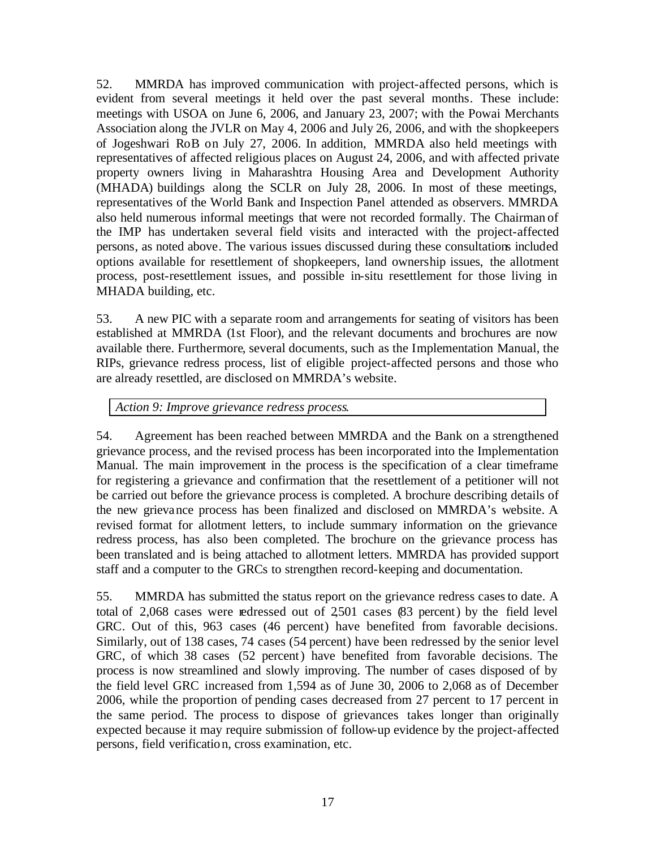52. MMRDA has improved communication with project-affected persons, which is evident from several meetings it held over the past several months. These include: meetings with USOA on June 6, 2006, and January 23, 2007; with the Powai Merchants Association along the JVLR on May 4, 2006 and July 26, 2006, and with the shopkeepers of Jogeshwari RoB on July 27, 2006. In addition, MMRDA also held meetings with representatives of affected religious places on August 24, 2006, and with affected private property owners living in Maharashtra Housing Area and Development Authority (MHADA) buildings along the SCLR on July 28, 2006. In most of these meetings, representatives of the World Bank and Inspection Panel attended as observers. MMRDA also held numerous informal meetings that were not recorded formally. The Chairman of the IMP has undertaken several field visits and interacted with the project-affected persons, as noted above. The various issues discussed during these consultations included options available for resettlement of shopkeepers, land ownership issues, the allotment process, post-resettlement issues, and possible in-situ resettlement for those living in MHADA building, etc.

53. A new PIC with a separate room and arrangements for seating of visitors has been established at MMRDA (1st Floor), and the relevant documents and brochures are now available there. Furthermore, several documents, such as the Implementation Manual, the RIPs, grievance redress process, list of eligible project-affected persons and those who are already resettled, are disclosed on MMRDA's website.

#### *Action 9: Improve grievance redress process.*

54. Agreement has been reached between MMRDA and the Bank on a strengthened grievance process, and the revised process has been incorporated into the Implementation Manual. The main improvement in the process is the specification of a clear timeframe for registering a grievance and confirmation that the resettlement of a petitioner will not be carried out before the grievance process is completed. A brochure describing details of the new grievance process has been finalized and disclosed on MMRDA's website. A revised format for allotment letters, to include summary information on the grievance redress process, has also been completed. The brochure on the grievance process has been translated and is being attached to allotment letters. MMRDA has provided support staff and a computer to the GRCs to strengthen record-keeping and documentation.

55. MMRDA has submitted the status report on the grievance redress cases to date. A total of 2,068 cases were redressed out of 2,501 cases (83 percent) by the field level GRC. Out of this, 963 cases (46 percent) have benefited from favorable decisions. Similarly, out of 138 cases, 74 cases (54 percent) have been redressed by the senior level GRC, of which 38 cases (52 percent) have benefited from favorable decisions. The process is now streamlined and slowly improving. The number of cases disposed of by the field level GRC increased from 1,594 as of June 30, 2006 to 2,068 as of December 2006, while the proportion of pending cases decreased from 27 percent to 17 percent in the same period. The process to dispose of grievances takes longer than originally expected because it may require submission of follow-up evidence by the project-affected persons, field verification, cross examination, etc.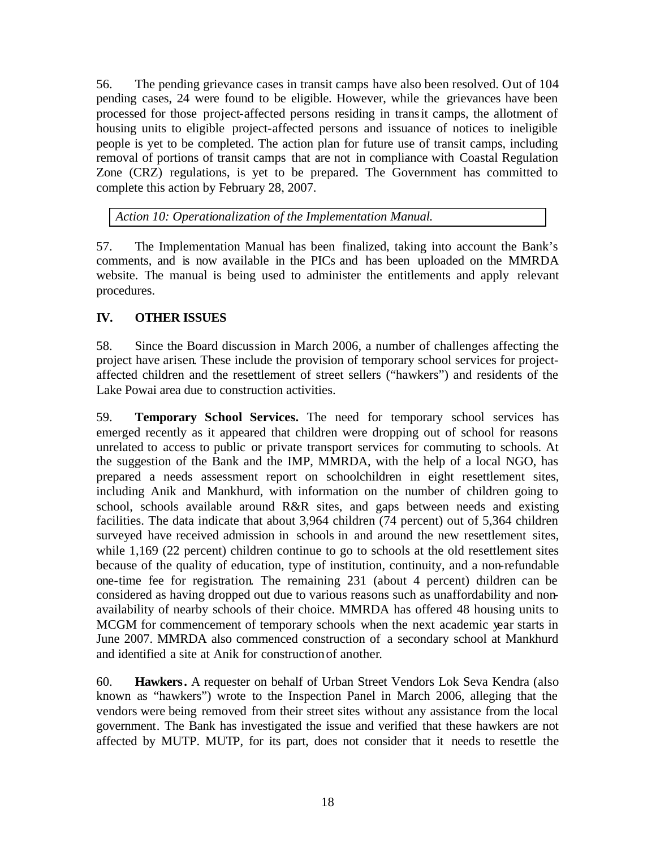56. The pending grievance cases in transit camps have also been resolved. Out of 104 pending cases, 24 were found to be eligible. However, while the grievances have been processed for those project-affected persons residing in transit camps, the allotment of housing units to eligible project-affected persons and issuance of notices to ineligible people is yet to be completed. The action plan for future use of transit camps, including removal of portions of transit camps that are not in compliance with Coastal Regulation Zone (CRZ) regulations, is yet to be prepared. The Government has committed to complete this action by February 28, 2007.

*Action 10: Operationalization of the Implementation Manual.*

57. The Implementation Manual has been finalized, taking into account the Bank's comments, and is now available in the PICs and has been uploaded on the MMRDA website. The manual is being used to administer the entitlements and apply relevant procedures.

## **IV. OTHER ISSUES**

58. Since the Board discussion in March 2006, a number of challenges affecting the project have arisen. These include the provision of temporary school services for projectaffected children and the resettlement of street sellers ("hawkers") and residents of the Lake Powai area due to construction activities.

59. **Temporary School Services.** The need for temporary school services has emerged recently as it appeared that children were dropping out of school for reasons unrelated to access to public or private transport services for commuting to schools. At the suggestion of the Bank and the IMP, MMRDA, with the help of a local NGO, has prepared a needs assessment report on schoolchildren in eight resettlement sites, including Anik and Mankhurd, with information on the number of children going to school, schools available around R&R sites, and gaps between needs and existing facilities. The data indicate that about 3,964 children (74 percent) out of 5,364 children surveyed have received admission in schools in and around the new resettlement sites, while 1,169 (22 percent) children continue to go to schools at the old resettlement sites because of the quality of education, type of institution, continuity, and a non-refundable one-time fee for registration. The remaining 231 (about 4 percent) dildren can be considered as having dropped out due to various reasons such as unaffordability and nonavailability of nearby schools of their choice. MMRDA has offered 48 housing units to MCGM for commencement of temporary schools when the next academic year starts in June 2007. MMRDA also commenced construction of a secondary school at Mankhurd and identified a site at Anik for construction of another.

60. **Hawkers.** A requester on behalf of Urban Street Vendors Lok Seva Kendra (also known as "hawkers") wrote to the Inspection Panel in March 2006, alleging that the vendors were being removed from their street sites without any assistance from the local government. The Bank has investigated the issue and verified that these hawkers are not affected by MUTP. MUTP, for its part, does not consider that it needs to resettle the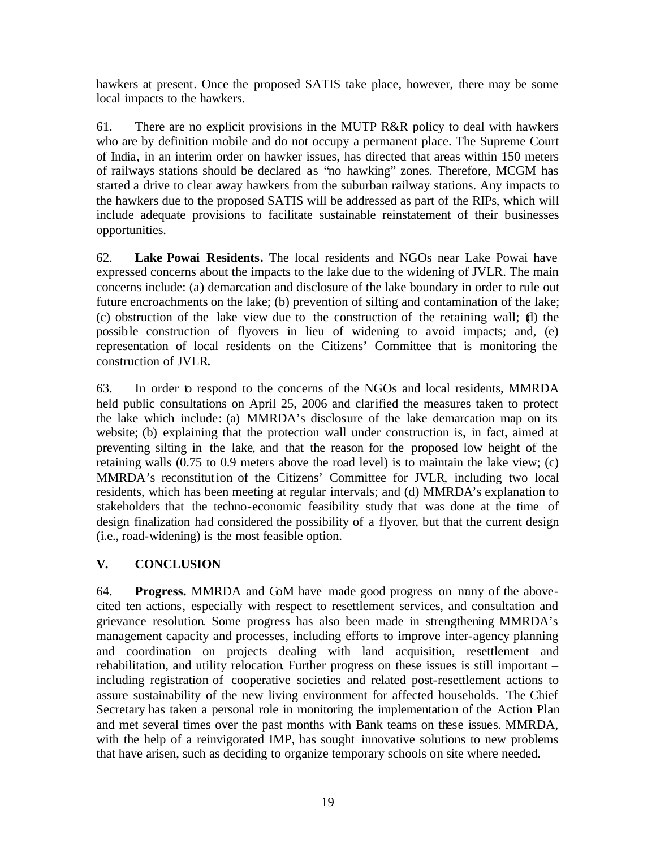hawkers at present. Once the proposed SATIS take place, however, there may be some local impacts to the hawkers.

61. There are no explicit provisions in the MUTP R&R policy to deal with hawkers who are by definition mobile and do not occupy a permanent place. The Supreme Court of India, in an interim order on hawker issues, has directed that areas within 150 meters of railways stations should be declared as "no hawking" zones. Therefore, MCGM has started a drive to clear away hawkers from the suburban railway stations. Any impacts to the hawkers due to the proposed SATIS will be addressed as part of the RIPs, which will include adequate provisions to facilitate sustainable reinstatement of their businesses opportunities.

62. **Lake Powai Residents.** The local residents and NGOs near Lake Powai have expressed concerns about the impacts to the lake due to the widening of JVLR. The main concerns include: (a) demarcation and disclosure of the lake boundary in order to rule out future encroachments on the lake; (b) prevention of silting and contamination of the lake; (c) obstruction of the lake view due to the construction of the retaining wall; (d) the possible construction of flyovers in lieu of widening to avoid impacts; and, (e) representation of local residents on the Citizens' Committee that is monitoring the construction of JVLR**.**

63. In order to respond to the concerns of the NGOs and local residents, MMRDA held public consultations on April 25, 2006 and clarified the measures taken to protect the lake which include: (a) MMRDA's disclosure of the lake demarcation map on its website; (b) explaining that the protection wall under construction is, in fact, aimed at preventing silting in the lake, and that the reason for the proposed low height of the retaining walls (0.75 to 0.9 meters above the road level) is to maintain the lake view; (c) MMRDA's reconstitution of the Citizens' Committee for JVLR, including two local residents, which has been meeting at regular intervals; and (d) MMRDA's explanation to stakeholders that the techno-economic feasibility study that was done at the time of design finalization had considered the possibility of a flyover, but that the current design (i.e., road-widening) is the most feasible option.

# **V. CONCLUSION**

64. **Progress.** MMRDA and GoM have made good progress on many of the abovecited ten actions, especially with respect to resettlement services, and consultation and grievance resolution. Some progress has also been made in strengthening MMRDA's management capacity and processes, including efforts to improve inter-agency planning and coordination on projects dealing with land acquisition, resettlement and rehabilitation, and utility relocation. Further progress on these issues is still important – including registration of cooperative societies and related post-resettlement actions to assure sustainability of the new living environment for affected households. The Chief Secretary has taken a personal role in monitoring the implementation of the Action Plan and met several times over the past months with Bank teams on these issues. MMRDA, with the help of a reinvigorated IMP, has sought innovative solutions to new problems that have arisen, such as deciding to organize temporary schools on site where needed.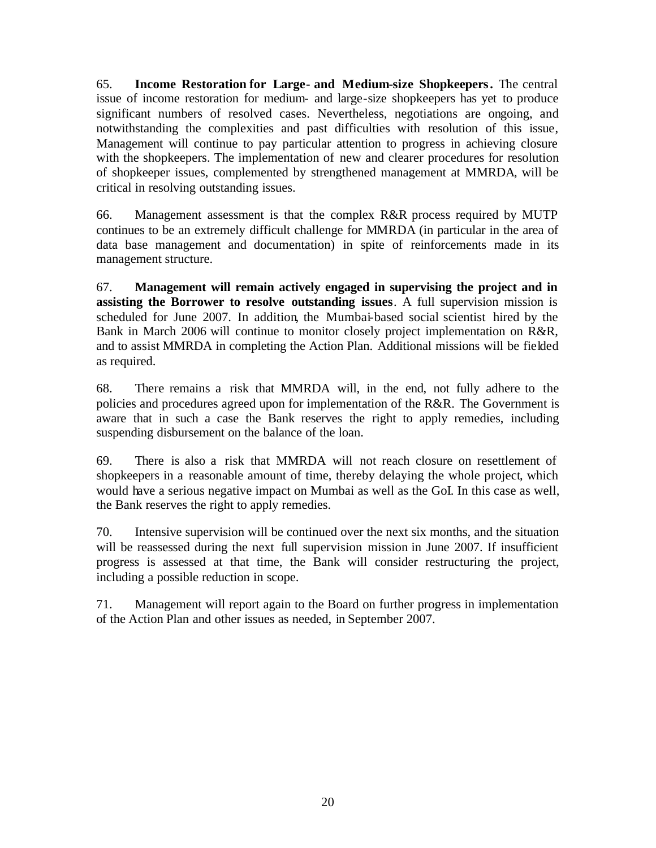65. **Income Restoration for Large- and Medium-size Shopkeepers.** The central issue of income restoration for medium- and large-size shopkeepers has yet to produce significant numbers of resolved cases. Nevertheless, negotiations are ongoing, and notwithstanding the complexities and past difficulties with resolution of this issue, Management will continue to pay particular attention to progress in achieving closure with the shopkeepers. The implementation of new and clearer procedures for resolution of shopkeeper issues, complemented by strengthened management at MMRDA, will be critical in resolving outstanding issues.

66. Management assessment is that the complex R&R process required by MUTP continues to be an extremely difficult challenge for MMRDA (in particular in the area of data base management and documentation) in spite of reinforcements made in its management structure.

67. **Management will remain actively engaged in supervising the project and in assisting the Borrower to resolve outstanding issues**. A full supervision mission is scheduled for June 2007. In addition, the Mumbai-based social scientist hired by the Bank in March 2006 will continue to monitor closely project implementation on R&R, and to assist MMRDA in completing the Action Plan. Additional missions will be fielded as required.

68. There remains a risk that MMRDA will, in the end, not fully adhere to the policies and procedures agreed upon for implementation of the R&R. The Government is aware that in such a case the Bank reserves the right to apply remedies, including suspending disbursement on the balance of the loan.

69. There is also a risk that MMRDA will not reach closure on resettlement of shopkeepers in a reasonable amount of time, thereby delaying the whole project, which would have a serious negative impact on Mumbai as well as the GoI. In this case as well, the Bank reserves the right to apply remedies.

70. Intensive supervision will be continued over the next six months, and the situation will be reassessed during the next full supervision mission in June 2007. If insufficient progress is assessed at that time, the Bank will consider restructuring the project, including a possible reduction in scope.

71. Management will report again to the Board on further progress in implementation of the Action Plan and other issues as needed, in September 2007.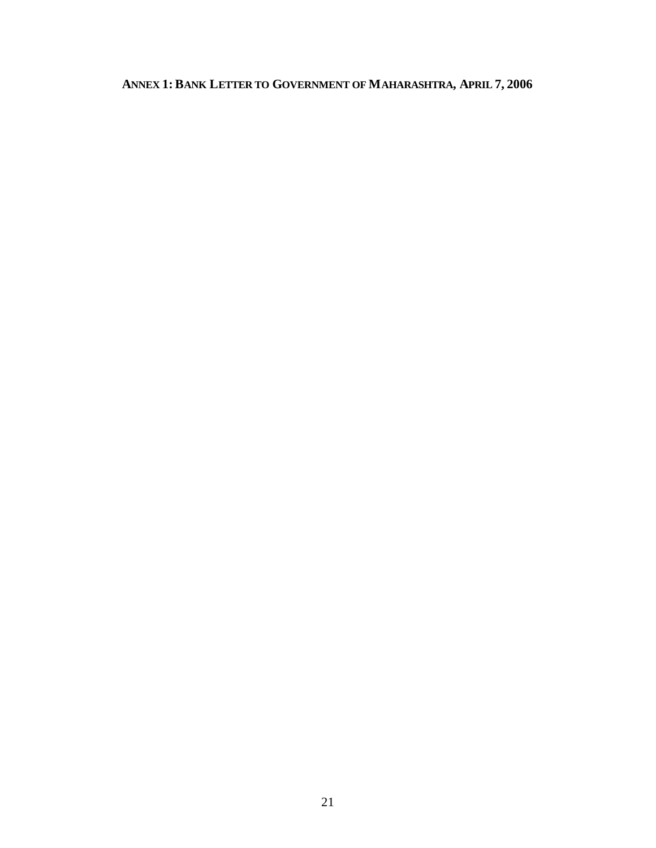# **ANNEX 1: BANK LETTER TO GOVERNMENT OF MAHARASHTRA, APRIL 7, 2006**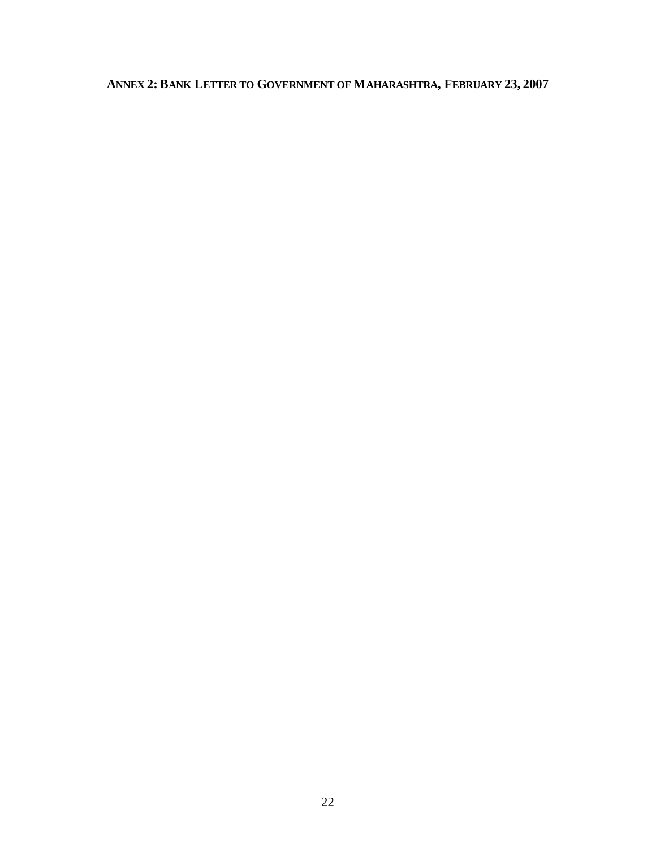# **ANNEX 2: BANK LETTER TO GOVERNMENT OF MAHARASHTRA, FEBRUARY 23, 2007**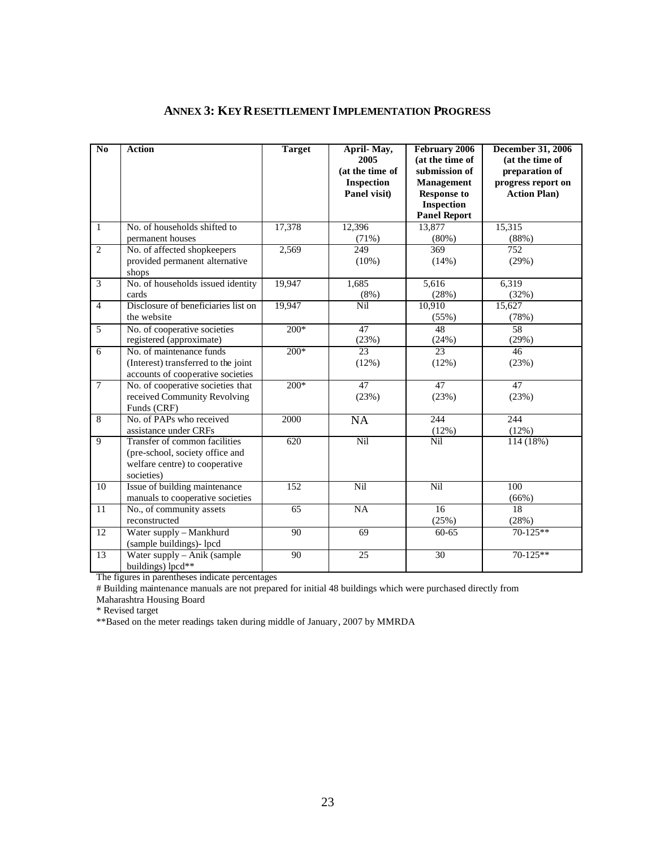| $\overline{No}$ | <b>Action</b>                                                                                                    | <b>Target</b>    | April-May,<br>2005<br>(at the time of<br><b>Inspection</b><br>Panel visit) | <b>February 2006</b><br>(at the time of<br>submission of<br>Management<br><b>Response to</b><br><b>Inspection</b><br><b>Panel Report</b> | <b>December 31, 2006</b><br>(at the time of<br>preparation of<br>progress report on<br><b>Action Plan)</b> |
|-----------------|------------------------------------------------------------------------------------------------------------------|------------------|----------------------------------------------------------------------------|------------------------------------------------------------------------------------------------------------------------------------------|------------------------------------------------------------------------------------------------------------|
| $\mathbf{1}$    | No. of households shifted to<br>permanent houses                                                                 | 17,378           | 12,396<br>(71%)                                                            | 13,877<br>(80%)                                                                                                                          | 15,315<br>(88%)                                                                                            |
| $\overline{2}$  | No. of affected shopkeepers<br>provided permanent alternative<br>shops                                           | 2,569            | 249<br>(10%)                                                               | 369<br>(14%)                                                                                                                             | 752<br>(29%)                                                                                               |
| $\overline{3}$  | No. of households issued identity<br>cards                                                                       | 19,947           | 1,685<br>(8%)                                                              | 5,616<br>(28%)                                                                                                                           | 6,319<br>(32%)                                                                                             |
| $\overline{4}$  | Disclosure of beneficiaries list on<br>the website                                                               | 19,947           | $\overline{\text{Nil}}$                                                    | 10,910<br>(55%)                                                                                                                          | 15,627<br>(78%)                                                                                            |
| 5               | No. of cooperative societies<br>registered (approximate)                                                         | $200*$           | 47<br>(23%)                                                                | 48<br>(24%)                                                                                                                              | 58<br>(29%)                                                                                                |
| 6               | No. of maintenance funds<br>(Interest) transferred to the joint<br>accounts of cooperative societies             | $200*$           | 23<br>(12%)                                                                | 23<br>(12%)                                                                                                                              | $\overline{46}$<br>(23%)                                                                                   |
| $\overline{7}$  | No. of cooperative societies that<br>received Community Revolving<br>Funds (CRF)                                 | $\frac{200*}{ }$ | 47<br>(23%)                                                                | $\overline{47}$<br>(23%)                                                                                                                 | 47<br>(23%)                                                                                                |
| 8               | No. of PAPs who received<br>assistance under CRFs                                                                | 2000             | $\overline{NA}$                                                            | 244<br>(12%)                                                                                                                             | 244<br>(12%)                                                                                               |
| 9               | Transfer of common facilities<br>(pre-school, society office and<br>welfare centre) to cooperative<br>societies) | 620              | Nil                                                                        | Nil                                                                                                                                      | 114 (18%)                                                                                                  |
| 10              | Issue of building maintenance<br>manuals to cooperative societies                                                | 152              | Nil                                                                        | Nil                                                                                                                                      | 100<br>(66%)                                                                                               |
| 11              | No., of community assets<br>reconstructed                                                                        | 65               | NA                                                                         | 16<br>(25%)                                                                                                                              | 18<br>(28%)                                                                                                |
| 12              | Water supply - Mankhurd<br>(sample buildings)- lpcd                                                              | 90               | 69                                                                         | 60-65                                                                                                                                    | 70-125**                                                                                                   |
| 13              | Water supply - Anik (sample)<br>buildings) lpcd**                                                                | 90               | 25                                                                         | 30                                                                                                                                       | $70 - 125**$                                                                                               |

#### **ANNEX 3: KEY RESETTLEMENT IMPLEMENTATION PROGRESS**

The figures in parentheses indicate percentages

# Building maintenance manuals are not prepared for initial 48 buildings which were purchased directly from

Maharashtra Housing Board

\* Revised target

\*\*Based on the meter readings taken during middle of January, 2007 by MMRDA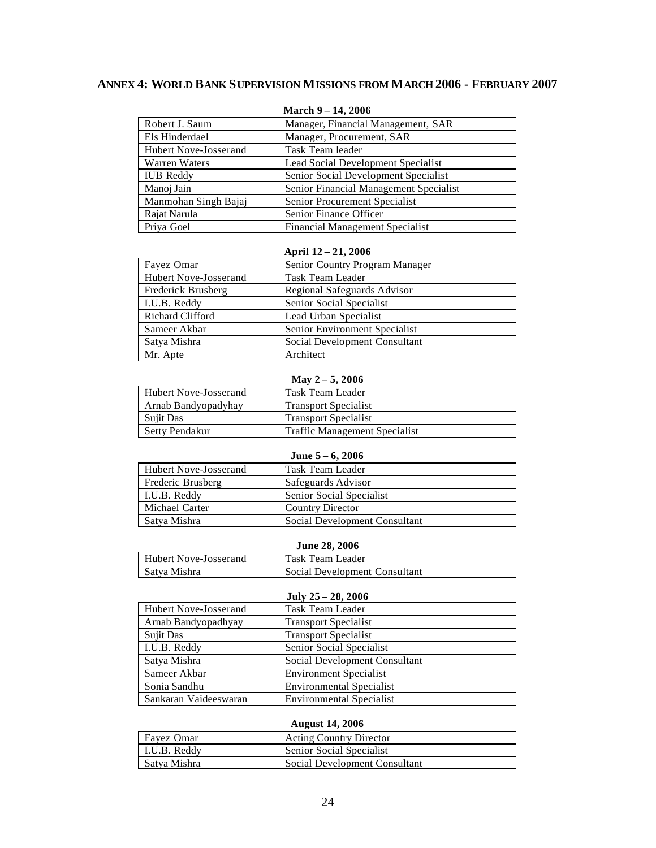#### **ANNEX 4: WORLD BANK SUPERVISION MISSIONS FROM MARCH 2006 - FEBRUARY 2007**

|                       | $11.441$ CH $2 - 17$ , 2000            |
|-----------------------|----------------------------------------|
| Robert J. Saum        | Manager, Financial Management, SAR     |
| Els Hinderdael        | Manager, Procurement, SAR              |
| Hubert Nove-Josserand | Task Team leader                       |
| Warren Waters         | Lead Social Development Specialist     |
| <b>IUB</b> Reddy      | Senior Social Development Specialist   |
| Manoj Jain            | Senior Financial Management Specialist |
| Manmohan Singh Bajaj  | Senior Procurement Specialist          |
| Rajat Narula          | Senior Finance Officer                 |
| Priya Goel            | <b>Financial Management Specialist</b> |

**March 9 – 14, 2006**

#### **April 12 – 21, 2006**

| Fayez Omar              | Senior Country Program Manager |
|-------------------------|--------------------------------|
| Hubert Nove-Josserand   | Task Team Leader               |
| Frederick Brusberg      | Regional Safeguards Advisor    |
| I.U.B. Reddy            | Senior Social Specialist       |
| <b>Richard Clifford</b> | Lead Urban Specialist          |
| Sameer Akbar            | Senior Environment Specialist  |
| Satya Mishra            | Social Development Consultant  |
| Mr. Apte                | Architect                      |

#### **May 2 – 5, 2006**

| <b>Hubert Nove-Josserand</b> |                     | Task Team Leader                     |
|------------------------------|---------------------|--------------------------------------|
|                              | Arnab Bandyopadyhay | <b>Transport Specialist</b>          |
|                              | <b>Sujit Das</b>    | <b>Transport Specialist</b>          |
|                              | Setty Pendakur      | <b>Traffic Management Specialist</b> |

#### **June 5 – 6, 2006**

| Hubert Nove-Josserand | Task Team Leader              |
|-----------------------|-------------------------------|
| Frederic Brusberg     | Safeguards Advisor            |
| I.U.B. Reddy          | Senior Social Specialist      |
| Michael Carter        | <b>Country Director</b>       |
| Satva Mishra          | Social Development Consultant |

#### **June 28, 2006**

| <b>Hubert Nove-Josserand</b> | Task Team Leader              |
|------------------------------|-------------------------------|
| Satya Mishra                 | Social Development Consultant |

#### **July 25 – 28, 2006**

| Hubert Nove-Josserand | Task Team Leader                |
|-----------------------|---------------------------------|
| Arnab Bandyopadhyay   | <b>Transport Specialist</b>     |
| Sujit Das             | <b>Transport Specialist</b>     |
| I.U.B. Reddy          | Senior Social Specialist        |
| Satya Mishra          | Social Development Consultant   |
| Sameer Akbar          | <b>Environment Specialist</b>   |
| Sonia Sandhu          | <b>Environmental Specialist</b> |
| Sankaran Vaideeswaran | <b>Environmental Specialist</b> |

#### **August 14, 2006**

| Favez Omar           | <b>Acting Country Director</b> |
|----------------------|--------------------------------|
| $\vert$ I.U.B. Reddy | Senior Social Specialist       |
| Satya Mishra         | Social Development Consultant  |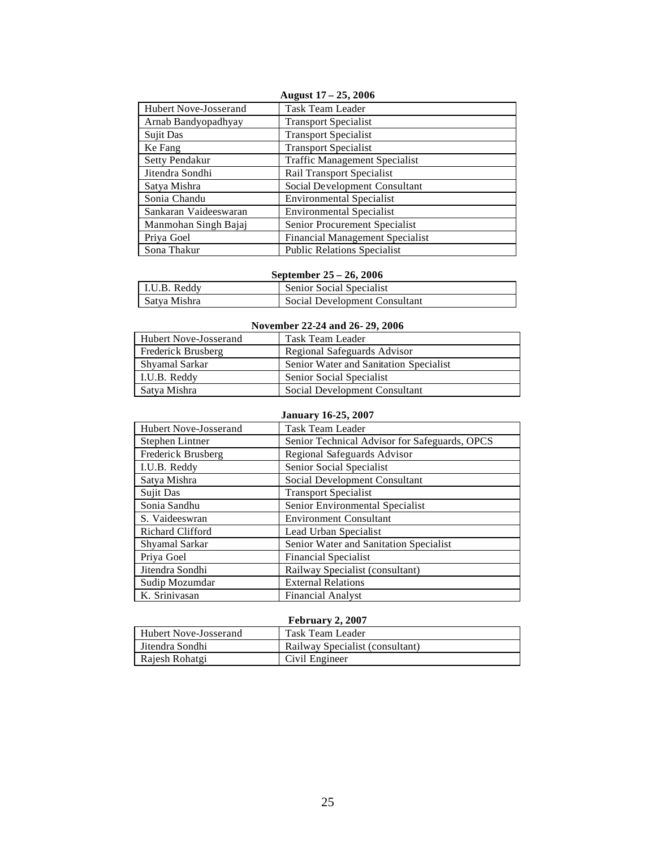| August $17 - 25$ , 2006 |                                        |  |  |
|-------------------------|----------------------------------------|--|--|
| Hubert Nove-Josserand   | Task Team Leader                       |  |  |
| Arnab Bandyopadhyay     | <b>Transport Specialist</b>            |  |  |
| Sujit Das               | <b>Transport Specialist</b>            |  |  |
| Ke Fang                 | <b>Transport Specialist</b>            |  |  |
| Setty Pendakur          | <b>Traffic Management Specialist</b>   |  |  |
| Jitendra Sondhi         | <b>Rail Transport Specialist</b>       |  |  |
| Satya Mishra            | Social Development Consultant          |  |  |
| Sonia Chandu            | <b>Environmental Specialist</b>        |  |  |
| Sankaran Vaideeswaran   | <b>Environmental Specialist</b>        |  |  |
| Manmohan Singh Bajaj    | Senior Procurement Specialist          |  |  |
| Priya Goel              | <b>Financial Management Specialist</b> |  |  |
| Sona Thakur             | <b>Public Relations Specialist</b>     |  |  |

#### **September 25 – 26, 2006**

| I.U.B. Reddy | <b>Senior Social Specialist</b> |
|--------------|---------------------------------|
| Satya Mishra | Social Development Consultant   |

#### **November 22-24 and 26- 29, 2006**

| Hubert Nove-Josserand | Task Team Leader                       |  |  |
|-----------------------|----------------------------------------|--|--|
| Frederick Brusberg    | Regional Safeguards Advisor            |  |  |
| Shyamal Sarkar        | Senior Water and Sanitation Specialist |  |  |
| LU.B. Reddy           | Senior Social Specialist               |  |  |
| Satya Mishra          | Social Development Consultant          |  |  |

#### **January 16-25, 2007**

| Hubert Nove-Josserand   | Task Team Leader                              |  |
|-------------------------|-----------------------------------------------|--|
| Stephen Lintner         | Senior Technical Advisor for Safeguards, OPCS |  |
| Frederick Brusberg      | Regional Safeguards Advisor                   |  |
| I.U.B. Reddy            | Senior Social Specialist                      |  |
| Satya Mishra            | Social Development Consultant                 |  |
| Sujit Das               | <b>Transport Specialist</b>                   |  |
| Sonia Sandhu            | Senior Environmental Specialist               |  |
| S. Vaideeswran          | <b>Environment Consultant</b>                 |  |
| <b>Richard Clifford</b> | Lead Urban Specialist                         |  |
| Shyamal Sarkar          | Senior Water and Sanitation Specialist        |  |
| Priya Goel              | <b>Financial Specialist</b>                   |  |
| Jitendra Sondhi         | Railway Specialist (consultant)               |  |
| Sudip Mozumdar          | <b>External Relations</b>                     |  |
| K. Srinivasan           | <b>Financial Analyst</b>                      |  |

#### **February 2, 2007**

| <b>Hubert Nove-Josserand</b> | Task Team Leader                |
|------------------------------|---------------------------------|
| l Jitendra Sondhi            | Railway Specialist (consultant) |
| Rajesh Rohatgi               | Civil Engineer                  |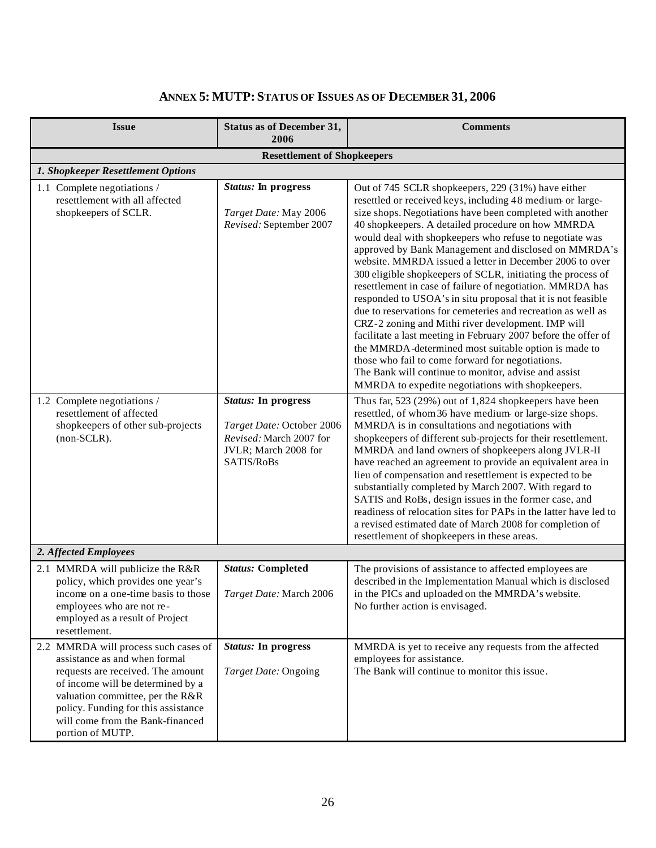| <b>Issue</b>                                                                                                                                                                                                                                                                       | <b>Status as of December 31,</b><br>2006                                                                                 | <b>Comments</b>                                                                                                                                                                                                                                                                                                                                                                                                                                                                                                                                                                                                                                                                                                                                                                                                                                                                                                                                                                                                             |
|------------------------------------------------------------------------------------------------------------------------------------------------------------------------------------------------------------------------------------------------------------------------------------|--------------------------------------------------------------------------------------------------------------------------|-----------------------------------------------------------------------------------------------------------------------------------------------------------------------------------------------------------------------------------------------------------------------------------------------------------------------------------------------------------------------------------------------------------------------------------------------------------------------------------------------------------------------------------------------------------------------------------------------------------------------------------------------------------------------------------------------------------------------------------------------------------------------------------------------------------------------------------------------------------------------------------------------------------------------------------------------------------------------------------------------------------------------------|
|                                                                                                                                                                                                                                                                                    | <b>Resettlement of Shopkeepers</b>                                                                                       |                                                                                                                                                                                                                                                                                                                                                                                                                                                                                                                                                                                                                                                                                                                                                                                                                                                                                                                                                                                                                             |
| 1. Shopkeeper Resettlement Options                                                                                                                                                                                                                                                 |                                                                                                                          |                                                                                                                                                                                                                                                                                                                                                                                                                                                                                                                                                                                                                                                                                                                                                                                                                                                                                                                                                                                                                             |
| 1.1 Complete negotiations /<br>resettlement with all affected<br>shopkeepers of SCLR.                                                                                                                                                                                              | <b>Status:</b> In progress<br>Target Date: May 2006<br>Revised: September 2007                                           | Out of 745 SCLR shopkeepers, 229 (31%) have either<br>resettled or received keys, including 48 medium or large-<br>size shops. Negotiations have been completed with another<br>40 shopkeepers. A detailed procedure on how MMRDA<br>would deal with shopkeepers who refuse to negotiate was<br>approved by Bank Management and disclosed on MMRDA's<br>website. MMRDA issued a letter in December 2006 to over<br>300 eligible shopkeepers of SCLR, initiating the process of<br>resettlement in case of failure of negotiation. MMRDA has<br>responded to USOA's in situ proposal that it is not feasible<br>due to reservations for cemeteries and recreation as well as<br>CRZ-2 zoning and Mithi river development. IMP will<br>facilitate a last meeting in February 2007 before the offer of<br>the MMRDA-determined most suitable option is made to<br>those who fail to come forward for negotiations.<br>The Bank will continue to monitor, advise and assist<br>MMRDA to expedite negotiations with shopkeepers. |
| 1.2 Complete negotiations /<br>resettlement of affected<br>shopkeepers of other sub-projects<br>(non-SCLR).                                                                                                                                                                        | <b>Status:</b> In progress<br>Target Date: October 2006<br>Revised: March 2007 for<br>JVLR; March 2008 for<br>SATIS/RoBs | Thus far, 523 (29%) out of 1,824 shopkeepers have been<br>resettled, of whom 36 have medium or large-size shops.<br>MMRDA is in consultations and negotiations with<br>shopkeepers of different sub-projects for their resettlement.<br>MMRDA and land owners of shopkeepers along JVLR-II<br>have reached an agreement to provide an equivalent area in<br>lieu of compensation and resettlement is expected to be<br>substantially completed by March 2007. With regard to<br>SATIS and RoBs, design issues in the former case, and<br>readiness of relocation sites for PAPs in the latter have led to<br>a revised estimated date of March 2008 for completion of<br>resettlement of shopkeepers in these areas.                                                                                                                                                                                                                                                                                                        |
| 2. Affected Employees                                                                                                                                                                                                                                                              |                                                                                                                          |                                                                                                                                                                                                                                                                                                                                                                                                                                                                                                                                                                                                                                                                                                                                                                                                                                                                                                                                                                                                                             |
| 2.1 MMRDA will publicize the R&R<br>policy, which provides one year's<br>income on a one-time basis to those<br>employees who are not re-<br>employed as a result of Project<br>resettlement.                                                                                      | <b>Status: Completed</b><br>Target Date: March 2006                                                                      | The provisions of assistance to affected employees are<br>described in the Implementation Manual which is disclosed<br>in the PICs and uploaded on the MMRDA's website.<br>No further action is envisaged.                                                                                                                                                                                                                                                                                                                                                                                                                                                                                                                                                                                                                                                                                                                                                                                                                  |
| 2.2 MMRDA will process such cases of<br>assistance as and when formal<br>requests are received. The amount<br>of income will be determined by a<br>valuation committee, per the R&R<br>policy. Funding for this assistance<br>will come from the Bank-financed<br>portion of MUTP. | <b>Status:</b> In progress<br>Target Date: Ongoing                                                                       | MMRDA is yet to receive any requests from the affected<br>employees for assistance.<br>The Bank will continue to monitor this issue.                                                                                                                                                                                                                                                                                                                                                                                                                                                                                                                                                                                                                                                                                                                                                                                                                                                                                        |

# **ANNEX 5: MUTP: STATUS OF ISSUES AS OF DECEMBER 31, 2006**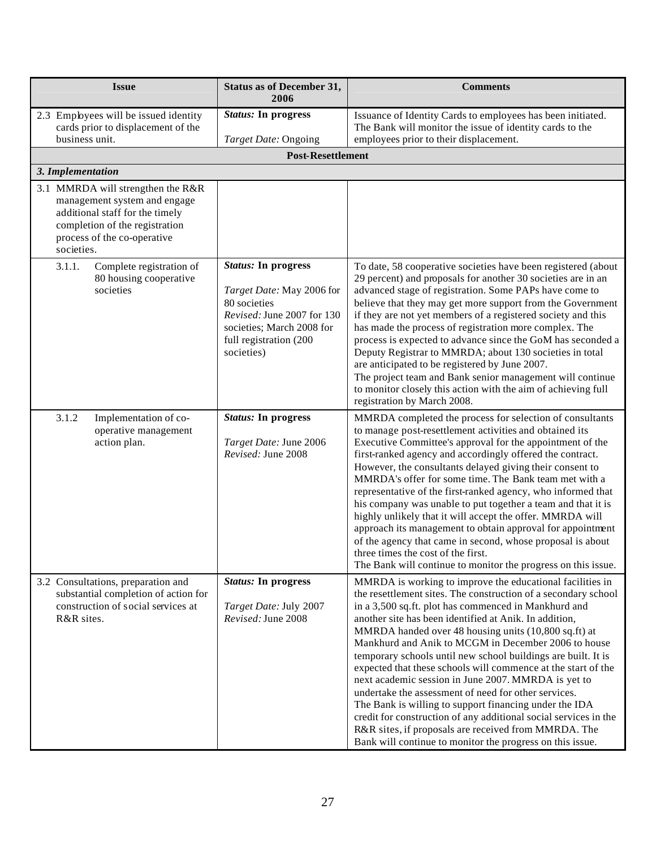| <b>Issue</b>                                                                                                                                                                        | <b>Status as of December 31,</b><br>2006                                                                                                                                   | <b>Comments</b>                                                                                                                                                                                                                                                                                                                                                                                                                                                                                                                                                                                                                                                                                                                                                                                                                                                  |
|-------------------------------------------------------------------------------------------------------------------------------------------------------------------------------------|----------------------------------------------------------------------------------------------------------------------------------------------------------------------------|------------------------------------------------------------------------------------------------------------------------------------------------------------------------------------------------------------------------------------------------------------------------------------------------------------------------------------------------------------------------------------------------------------------------------------------------------------------------------------------------------------------------------------------------------------------------------------------------------------------------------------------------------------------------------------------------------------------------------------------------------------------------------------------------------------------------------------------------------------------|
| 2.3 Employees will be issued identity<br>cards prior to displacement of the<br>business unit.                                                                                       | <b>Status:</b> In progress<br>Target Date: Ongoing                                                                                                                         | Issuance of Identity Cards to employees has been initiated.<br>The Bank will monitor the issue of identity cards to the<br>employees prior to their displacement.                                                                                                                                                                                                                                                                                                                                                                                                                                                                                                                                                                                                                                                                                                |
|                                                                                                                                                                                     | <b>Post-Resettlement</b>                                                                                                                                                   |                                                                                                                                                                                                                                                                                                                                                                                                                                                                                                                                                                                                                                                                                                                                                                                                                                                                  |
| 3. Implementation                                                                                                                                                                   |                                                                                                                                                                            |                                                                                                                                                                                                                                                                                                                                                                                                                                                                                                                                                                                                                                                                                                                                                                                                                                                                  |
| 3.1 MMRDA will strengthen the R&R<br>management system and engage<br>additional staff for the timely<br>completion of the registration<br>process of the co-operative<br>societies. |                                                                                                                                                                            |                                                                                                                                                                                                                                                                                                                                                                                                                                                                                                                                                                                                                                                                                                                                                                                                                                                                  |
| 3.1.1.<br>Complete registration of<br>80 housing cooperative<br>societies                                                                                                           | <b>Status:</b> In progress<br>Target Date: May 2006 for<br>80 societies<br>Revised: June 2007 for 130<br>societies; March 2008 for<br>full registration (200<br>societies) | To date, 58 cooperative societies have been registered (about<br>29 percent) and proposals for another 30 societies are in an<br>advanced stage of registration. Some PAPs have come to<br>believe that they may get more support from the Government<br>if they are not yet members of a registered society and this<br>has made the process of registration more complex. The<br>process is expected to advance since the GoM has seconded a<br>Deputy Registrar to MMRDA; about 130 societies in total<br>are anticipated to be registered by June 2007.<br>The project team and Bank senior management will continue<br>to monitor closely this action with the aim of achieving full<br>registration by March 2008.                                                                                                                                         |
| Implementation of co-<br>3.1.2<br>operative management<br>action plan.                                                                                                              | <b>Status:</b> In progress<br>Target Date: June 2006<br>Revised: June 2008                                                                                                 | MMRDA completed the process for selection of consultants<br>to manage post-resettlement activities and obtained its<br>Executive Committee's approval for the appointment of the<br>first-ranked agency and accordingly offered the contract.<br>However, the consultants delayed giving their consent to<br>MMRDA's offer for some time. The Bank team met with a<br>representative of the first-ranked agency, who informed that<br>his company was unable to put together a team and that it is<br>highly unlikely that it will accept the offer. MMRDA will<br>approach its management to obtain approval for appointment<br>of the agency that came in second, whose proposal is about<br>three times the cost of the first.<br>The Bank will continue to monitor the progress on this issue.                                                               |
| 3.2 Consultations, preparation and<br>substantial completion of action for<br>construction of social services at<br>R&R sites.                                                      | <b>Status:</b> In progress<br>Target Date: July 2007<br>Revised: June 2008                                                                                                 | MMRDA is working to improve the educational facilities in<br>the resettlement sites. The construction of a secondary school<br>in a 3,500 sq.ft. plot has commenced in Mankhurd and<br>another site has been identified at Anik. In addition,<br>MMRDA handed over 48 housing units (10,800 sq.ft) at<br>Mankhurd and Anik to MCGM in December 2006 to house<br>temporary schools until new school buildings are built. It is<br>expected that these schools will commence at the start of the<br>next academic session in June 2007. MMRDA is yet to<br>undertake the assessment of need for other services.<br>The Bank is willing to support financing under the IDA<br>credit for construction of any additional social services in the<br>R&R sites, if proposals are received from MMRDA. The<br>Bank will continue to monitor the progress on this issue. |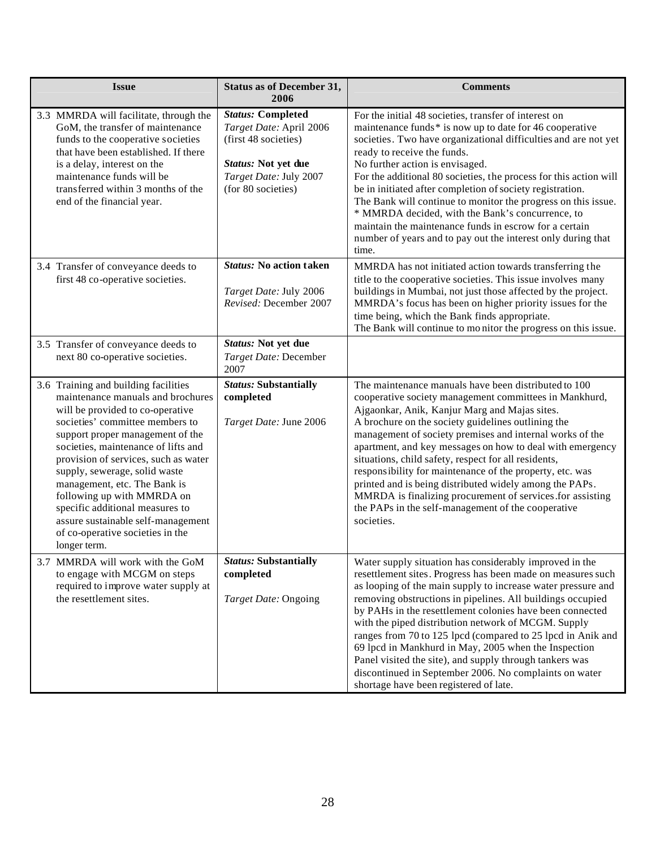| <b>Issue</b>                                                                                                                                                                                                                                                                                                                                                                                                                                                                                    | <b>Status as of December 31,</b><br>2006                                                                                                           | <b>Comments</b>                                                                                                                                                                                                                                                                                                                                                                                                                                                                                                                                                                                                                                                |
|-------------------------------------------------------------------------------------------------------------------------------------------------------------------------------------------------------------------------------------------------------------------------------------------------------------------------------------------------------------------------------------------------------------------------------------------------------------------------------------------------|----------------------------------------------------------------------------------------------------------------------------------------------------|----------------------------------------------------------------------------------------------------------------------------------------------------------------------------------------------------------------------------------------------------------------------------------------------------------------------------------------------------------------------------------------------------------------------------------------------------------------------------------------------------------------------------------------------------------------------------------------------------------------------------------------------------------------|
| 3.3 MMRDA will facilitate, through the<br>GoM, the transfer of maintenance<br>funds to the cooperative societies<br>that have been established. If there<br>is a delay, interest on the<br>maintenance funds will be<br>transferred within 3 months of the<br>end of the financial year.                                                                                                                                                                                                        | <b>Status: Completed</b><br>Target Date: April 2006<br>(first 48 societies)<br>Status: Not yet due<br>Target Date: July 2007<br>(for 80 societies) | For the initial 48 societies, transfer of interest on<br>maintenance funds* is now up to date for 46 cooperative<br>societies. Two have organizational difficulties and are not yet<br>ready to receive the funds.<br>No further action is envisaged.<br>For the additional 80 societies, the process for this action will<br>be in initiated after completion of society registration.<br>The Bank will continue to monitor the progress on this issue.<br>* MMRDA decided, with the Bank's concurrence, to<br>maintain the maintenance funds in escrow for a certain<br>number of years and to pay out the interest only during that<br>time.                |
| 3.4 Transfer of conveyance deeds to<br>first 48 co-operative societies.<br>3.5 Transfer of conveyance deeds to                                                                                                                                                                                                                                                                                                                                                                                  | <b>Status:</b> No action taken<br>Target Date: July 2006<br>Revised: December 2007<br>Status: Not yet due                                          | MMRDA has not initiated action towards transferring the<br>title to the cooperative societies. This issue involves many<br>buildings in Mumbai, not just those affected by the project.<br>MMRDA's focus has been on higher priority issues for the<br>time being, which the Bank finds appropriate.<br>The Bank will continue to mo nitor the progress on this issue.                                                                                                                                                                                                                                                                                         |
| next 80 co-operative societies.                                                                                                                                                                                                                                                                                                                                                                                                                                                                 | Target Date: December<br>2007                                                                                                                      |                                                                                                                                                                                                                                                                                                                                                                                                                                                                                                                                                                                                                                                                |
| 3.6 Training and building facilities<br>maintenance manuals and brochures<br>will be provided to co-operative<br>societies' committee members to<br>support proper management of the<br>societies, maintenance of lifts and<br>provision of services, such as water<br>supply, sewerage, solid waste<br>management, etc. The Bank is<br>following up with MMRDA on<br>specific additional measures to<br>assure sustainable self-management<br>of co-operative societies in the<br>longer term. | <b>Status: Substantially</b><br>completed<br>Target Date: June 2006                                                                                | The maintenance manuals have been distributed to 100<br>cooperative society management committees in Mankhurd,<br>Ajgaonkar, Anik, Kanjur Marg and Majas sites.<br>A brochure on the society guidelines outlining the<br>management of society premises and internal works of the<br>apartment, and key messages on how to deal with emergency<br>situations, child safety, respect for all residents,<br>responsibility for maintenance of the property, etc. was<br>printed and is being distributed widely among the PAPs.<br>MMRDA is finalizing procurement of services for assisting<br>the PAPs in the self-management of the cooperative<br>societies. |
| 3.7 MMRDA will work with the GoM<br>to engage with MCGM on steps<br>required to improve water supply at<br>the resettlement sites.                                                                                                                                                                                                                                                                                                                                                              | <b>Status: Substantially</b><br>completed<br>Target Date: Ongoing                                                                                  | Water supply situation has considerably improved in the<br>resettlement sites. Progress has been made on measures such<br>as looping of the main supply to increase water pressure and<br>removing obstructions in pipelines. All buildings occupied<br>by PAHs in the resettlement colonies have been connected<br>with the piped distribution network of MCGM. Supply<br>ranges from 70 to 125 lpcd (compared to 25 lpcd in Anik and<br>69 lpcd in Mankhurd in May, 2005 when the Inspection<br>Panel visited the site), and supply through tankers was<br>discontinued in September 2006. No complaints on water<br>shortage have been registered of late.  |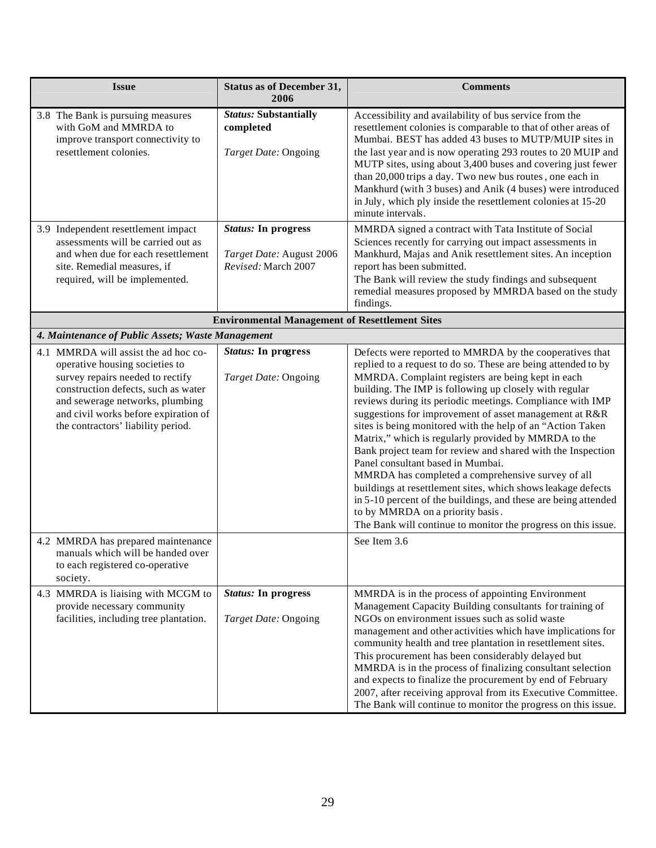| <b>Issue</b>                                                                                                                                                                                                                                                       | <b>Status as of December 31,</b><br>2006                                      | <b>Comments</b>                                                                                                                                                                                                                                                                                                                                                                                                                                                                                                                                                                                                                                                                                                                                                                                                                                                                      |
|--------------------------------------------------------------------------------------------------------------------------------------------------------------------------------------------------------------------------------------------------------------------|-------------------------------------------------------------------------------|--------------------------------------------------------------------------------------------------------------------------------------------------------------------------------------------------------------------------------------------------------------------------------------------------------------------------------------------------------------------------------------------------------------------------------------------------------------------------------------------------------------------------------------------------------------------------------------------------------------------------------------------------------------------------------------------------------------------------------------------------------------------------------------------------------------------------------------------------------------------------------------|
| 3.8 The Bank is pursuing measures<br>with GoM and MMRDA to<br>improve transport connectivity to<br>resettlement colonies.                                                                                                                                          | <b>Status: Substantially</b><br>completed<br>Target Date: Ongoing             | Accessibility and availability of bus service from the<br>resettlement colonies is comparable to that of other areas of<br>Mumbai. BEST has added 43 buses to MUTP/MUIP sites in<br>the last year and is now operating 293 routes to 20 MUIP and<br>MUTP sites, using about 3,400 buses and covering just fewer<br>than 20,000 trips a day. Two new bus routes, one each in<br>Mankhurd (with 3 buses) and Anik (4 buses) were introduced<br>in July, which ply inside the resettlement colonies at 15-20<br>minute intervals.                                                                                                                                                                                                                                                                                                                                                       |
| 3.9 Independent resettlement impact<br>assessments will be carried out as<br>and when due for each resettlement<br>site. Remedial measures, if<br>required, will be implemented.                                                                                   | <b>Status:</b> In progress<br>Target Date: August 2006<br>Revised: March 2007 | MMRDA signed a contract with Tata Institute of Social<br>Sciences recently for carrying out impact assessments in<br>Mankhurd, Majas and Anik resettlement sites. An inception<br>report has been submitted.<br>The Bank will review the study findings and subsequent<br>remedial measures proposed by MMRDA based on the study<br>findings.                                                                                                                                                                                                                                                                                                                                                                                                                                                                                                                                        |
|                                                                                                                                                                                                                                                                    | <b>Environmental Management of Resettlement Sites</b>                         |                                                                                                                                                                                                                                                                                                                                                                                                                                                                                                                                                                                                                                                                                                                                                                                                                                                                                      |
| 4. Maintenance of Public Assets; Waste Management                                                                                                                                                                                                                  |                                                                               |                                                                                                                                                                                                                                                                                                                                                                                                                                                                                                                                                                                                                                                                                                                                                                                                                                                                                      |
| 4.1 MMRDA will assist the ad hoc co-<br>operative housing societies to<br>survey repairs needed to rectify<br>construction defects, such as water<br>and sewerage networks, plumbing<br>and civil works before expiration of<br>the contractors' liability period. | <b>Status:</b> In progress<br>Target Date: Ongoing                            | Defects were reported to MMRDA by the cooperatives that<br>replied to a request to do so. These are being attended to by<br>MMRDA. Complaint registers are being kept in each<br>building. The IMP is following up closely with regular<br>reviews during its periodic meetings. Compliance with IMP<br>suggestions for improvement of asset management at R&R<br>sites is being monitored with the help of an "Action Taken<br>Matrix," which is regularly provided by MMRDA to the<br>Bank project team for review and shared with the Inspection<br>Panel consultant based in Mumbai.<br>MMRDA has completed a comprehensive survey of all<br>buildings at resettlement sites, which shows leakage defects<br>in 5-10 percent of the buildings, and these are being attended<br>to by MMRDA on a priority basis.<br>The Bank will continue to monitor the progress on this issue. |
| 4.2 MMRDA has prepared maintenance<br>manuals which will be handed over<br>to each registered co-operative<br>society.                                                                                                                                             |                                                                               | See Item 3.6                                                                                                                                                                                                                                                                                                                                                                                                                                                                                                                                                                                                                                                                                                                                                                                                                                                                         |
| 4.3 MMRDA is liaising with MCGM to<br>provide necessary community<br>facilities, including tree plantation.                                                                                                                                                        | <b>Status:</b> In progress<br>Target Date: Ongoing                            | MMRDA is in the process of appointing Environment<br>Management Capacity Building consultants for training of<br>NGOs on environment issues such as solid waste<br>management and other activities which have implications for<br>community health and tree plantation in resettlement sites.<br>This procurement has been considerably delayed but<br>MMRDA is in the process of finalizing consultant selection<br>and expects to finalize the procurement by end of February<br>2007, after receiving approval from its Executive Committee.<br>The Bank will continue to monitor the progress on this issue.                                                                                                                                                                                                                                                                     |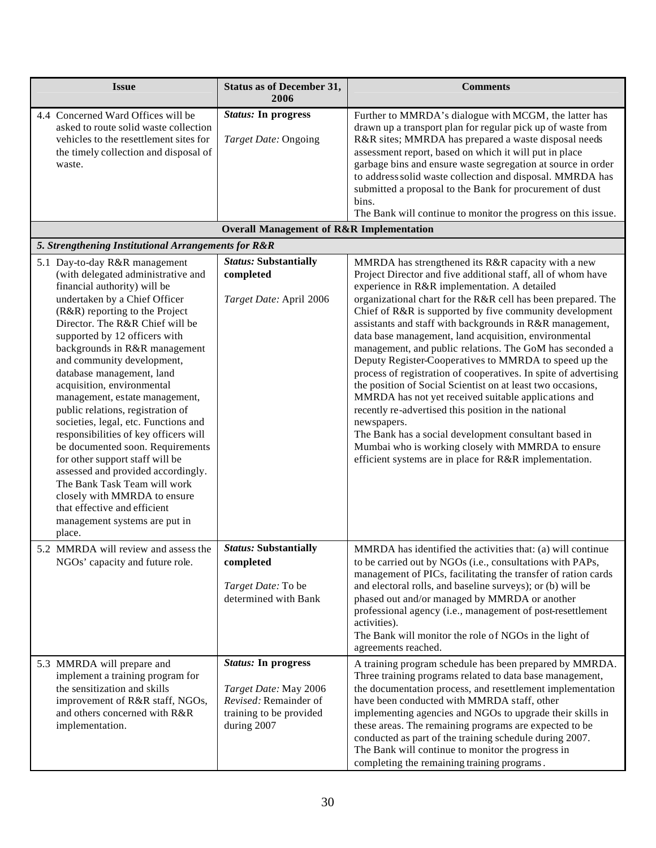| <b>Issue</b>                                                                                                                                                                                                                                                                                                                                                                                                                                                                                                                                                                                                                                                                                                                                                                         | <b>Status as of December 31,</b><br>2006                                                                               | <b>Comments</b>                                                                                                                                                                                                                                                                                                                                                                                                                                                                                                                                                                                                                                                                                                                                                                                                                                                                                                                                                                    |
|--------------------------------------------------------------------------------------------------------------------------------------------------------------------------------------------------------------------------------------------------------------------------------------------------------------------------------------------------------------------------------------------------------------------------------------------------------------------------------------------------------------------------------------------------------------------------------------------------------------------------------------------------------------------------------------------------------------------------------------------------------------------------------------|------------------------------------------------------------------------------------------------------------------------|------------------------------------------------------------------------------------------------------------------------------------------------------------------------------------------------------------------------------------------------------------------------------------------------------------------------------------------------------------------------------------------------------------------------------------------------------------------------------------------------------------------------------------------------------------------------------------------------------------------------------------------------------------------------------------------------------------------------------------------------------------------------------------------------------------------------------------------------------------------------------------------------------------------------------------------------------------------------------------|
| 4.4 Concerned Ward Offices will be<br>asked to route solid waste collection<br>vehicles to the resettlement sites for<br>the timely collection and disposal of<br>waste.                                                                                                                                                                                                                                                                                                                                                                                                                                                                                                                                                                                                             | <b>Status:</b> In progress<br>Target Date: Ongoing                                                                     | Further to MMRDA's dialogue with MCGM, the latter has<br>drawn up a transport plan for regular pick up of waste from<br>R&R sites; MMRDA has prepared a waste disposal needs<br>assessment report, based on which it will put in place<br>garbage bins and ensure waste segregation at source in order<br>to address solid waste collection and disposal. MMRDA has<br>submitted a proposal to the Bank for procurement of dust<br>bins.<br>The Bank will continue to monitor the progress on this issue.                                                                                                                                                                                                                                                                                                                                                                                                                                                                          |
|                                                                                                                                                                                                                                                                                                                                                                                                                                                                                                                                                                                                                                                                                                                                                                                      | <b>Overall Management of R&amp;R Implementation</b>                                                                    |                                                                                                                                                                                                                                                                                                                                                                                                                                                                                                                                                                                                                                                                                                                                                                                                                                                                                                                                                                                    |
| 5. Strengthening Institutional Arrangements for R&R                                                                                                                                                                                                                                                                                                                                                                                                                                                                                                                                                                                                                                                                                                                                  |                                                                                                                        |                                                                                                                                                                                                                                                                                                                                                                                                                                                                                                                                                                                                                                                                                                                                                                                                                                                                                                                                                                                    |
| 5.1 Day-to-day R&R management<br>(with delegated administrative and<br>financial authority) will be<br>undertaken by a Chief Officer<br>(R&R) reporting to the Project<br>Director. The R&R Chief will be<br>supported by 12 officers with<br>backgrounds in R&R management<br>and community development,<br>database management, land<br>acquisition, environmental<br>management, estate management,<br>public relations, registration of<br>societies, legal, etc. Functions and<br>responsibilities of key officers will<br>be documented soon. Requirements<br>for other support staff will be<br>assessed and provided accordingly.<br>The Bank Task Team will work<br>closely with MMRDA to ensure<br>that effective and efficient<br>management systems are put in<br>place. | <b>Status: Substantially</b><br>completed<br>Target Date: April 2006                                                   | MMRDA has strengthened its R&R capacity with a new<br>Project Director and five additional staff, all of whom have<br>experience in R&R implementation. A detailed<br>organizational chart for the R&R cell has been prepared. The<br>Chief of R&R is supported by five community development<br>assistants and staff with backgrounds in R&R management,<br>data base management, land acquisition, environmental<br>management, and public relations. The GoM has seconded a<br>Deputy Register-Cooperatives to MMRDA to speed up the<br>process of registration of cooperatives. In spite of advertising<br>the position of Social Scientist on at least two occasions,<br>MMRDA has not yet received suitable applications and<br>recently re-advertised this position in the national<br>newspapers.<br>The Bank has a social development consultant based in<br>Mumbai who is working closely with MMRDA to ensure<br>efficient systems are in place for R&R implementation. |
| 5.2 MMRDA will review and assess the<br>NGOs' capacity and future role.                                                                                                                                                                                                                                                                                                                                                                                                                                                                                                                                                                                                                                                                                                              | <b>Status: Substantially</b><br>completed<br>Target Date: To be<br>determined with Bank                                | MMRDA has identified the activities that: (a) will continue<br>to be carried out by NGOs (i.e., consultations with PAPs,<br>management of PICs, facilitating the transfer of ration cards<br>and electoral rolls, and baseline surveys); or (b) will be<br>phased out and/or managed by MMRDA or another<br>professional agency (i.e., management of post-resettlement<br>activities).<br>The Bank will monitor the role of NGOs in the light of<br>agreements reached.                                                                                                                                                                                                                                                                                                                                                                                                                                                                                                            |
| 5.3 MMRDA will prepare and<br>implement a training program for<br>the sensitization and skills<br>improvement of R&R staff, NGOs,<br>and others concerned with R&R<br>implementation.                                                                                                                                                                                                                                                                                                                                                                                                                                                                                                                                                                                                | <b>Status:</b> In progress<br>Target Date: May 2006<br>Revised: Remainder of<br>training to be provided<br>during 2007 | A training program schedule has been prepared by MMRDA.<br>Three training programs related to data base management,<br>the documentation process, and resettlement implementation<br>have been conducted with MMRDA staff, other<br>implementing agencies and NGOs to upgrade their skills in<br>these areas. The remaining programs are expected to be<br>conducted as part of the training schedule during 2007.<br>The Bank will continue to monitor the progress in<br>completing the remaining training programs.                                                                                                                                                                                                                                                                                                                                                                                                                                                             |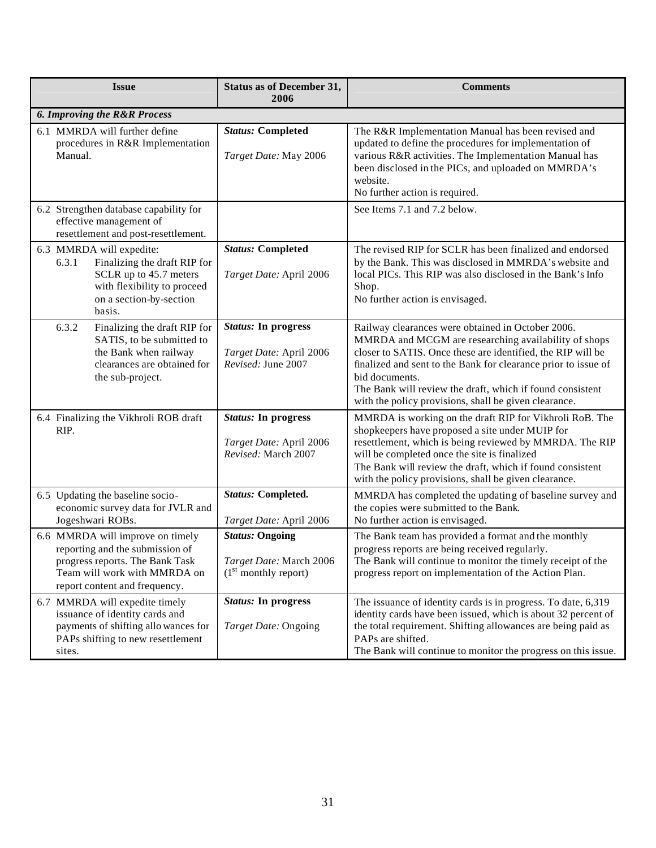| <b>Issue</b>                                                                                                                                                            | <b>Status as of December 31,</b><br>2006                                              | <b>Comments</b>                                                                                                                                                                                                                                                                                                                                                                    |
|-------------------------------------------------------------------------------------------------------------------------------------------------------------------------|---------------------------------------------------------------------------------------|------------------------------------------------------------------------------------------------------------------------------------------------------------------------------------------------------------------------------------------------------------------------------------------------------------------------------------------------------------------------------------|
| <b>6. Improving the R&amp;R Process</b>                                                                                                                                 |                                                                                       |                                                                                                                                                                                                                                                                                                                                                                                    |
| 6.1 MMRDA will further define<br>procedures in R&R Implementation<br>Manual.                                                                                            | <b>Status: Completed</b><br>Target Date: May 2006                                     | The R&R Implementation Manual has been revised and<br>updated to define the procedures for implementation of<br>various R&R activities. The Implementation Manual has<br>been disclosed in the PICs, and uploaded on MMRDA's<br>website.<br>No further action is required.                                                                                                         |
| 6.2 Strengthen database capability for<br>effective management of<br>resettlement and post-resettlement.                                                                |                                                                                       | See Items 7.1 and 7.2 below.                                                                                                                                                                                                                                                                                                                                                       |
| 6.3 MMRDA will expedite:<br>Finalizing the draft RIP for<br>6.3.1<br>SCLR up to 45.7 meters<br>with flexibility to proceed<br>on a section-by-section<br>basis.         | <b>Status: Completed</b><br>Target Date: April 2006                                   | The revised RIP for SCLR has been finalized and endorsed<br>by the Bank. This was disclosed in MMRDA's website and<br>local PICs. This RIP was also disclosed in the Bank's Info<br>Shop.<br>No further action is envisaged.                                                                                                                                                       |
| 6.3.2<br>Finalizing the draft RIP for<br>SATIS, to be submitted to<br>the Bank when railway<br>clearances are obtained for<br>the sub-project.                          | <b>Status:</b> In progress<br>Target Date: April 2006<br>Revised: June 2007           | Railway clearances were obtained in October 2006.<br>MMRDA and MCGM are researching availability of shops<br>closer to SATIS. Once these are identified, the RIP will be<br>finalized and sent to the Bank for clearance prior to issue of<br>bid documents.<br>The Bank will review the draft, which if found consistent<br>with the policy provisions, shall be given clearance. |
| 6.4 Finalizing the Vikhroli ROB draft<br>RIP.                                                                                                                           | <b>Status:</b> In progress<br>Target Date: April 2006<br>Revised: March 2007          | MMRDA is working on the draft RIP for Vikhroli RoB. The<br>shopkeepers have proposed a site under MUIP for<br>resettlement, which is being reviewed by MMRDA. The RIP<br>will be completed once the site is finalized<br>The Bank will review the draft, which if found consistent<br>with the policy provisions, shall be given clearance.                                        |
| 6.5 Updating the baseline socio-<br>economic survey data for JVLR and<br>Jogeshwari ROBs.                                                                               | <b>Status: Completed.</b><br>Target Date: April 2006                                  | MMRDA has completed the updating of baseline survey and<br>the copies were submitted to the Bank.<br>No further action is envisaged.                                                                                                                                                                                                                                               |
| 6.6 MMRDA will improve on timely<br>reporting and the submission of<br>progress reports. The Bank Task<br>Team will work with MMRDA on<br>report content and frequency. | <b>Status: Ongoing</b><br>Target Date: March 2006<br>(1 <sup>st</sup> monthly report) | The Bank team has provided a format and the monthly<br>progress reports are being received regularly.<br>The Bank will continue to monitor the timely receipt of the<br>progress report on implementation of the Action Plan.                                                                                                                                                      |
| 6.7 MMRDA will expedite timely<br>issuance of identity cards and<br>payments of shifting allo wances for<br>PAPs shifting to new resettlement<br>sites.                 | <b>Status:</b> In progress<br>Target Date: Ongoing                                    | The issuance of identity cards is in progress. To date, 6,319<br>identity cards have been issued, which is about 32 percent of<br>the total requirement. Shifting allowances are being paid as<br>PAPs are shifted.<br>The Bank will continue to monitor the progress on this issue.                                                                                               |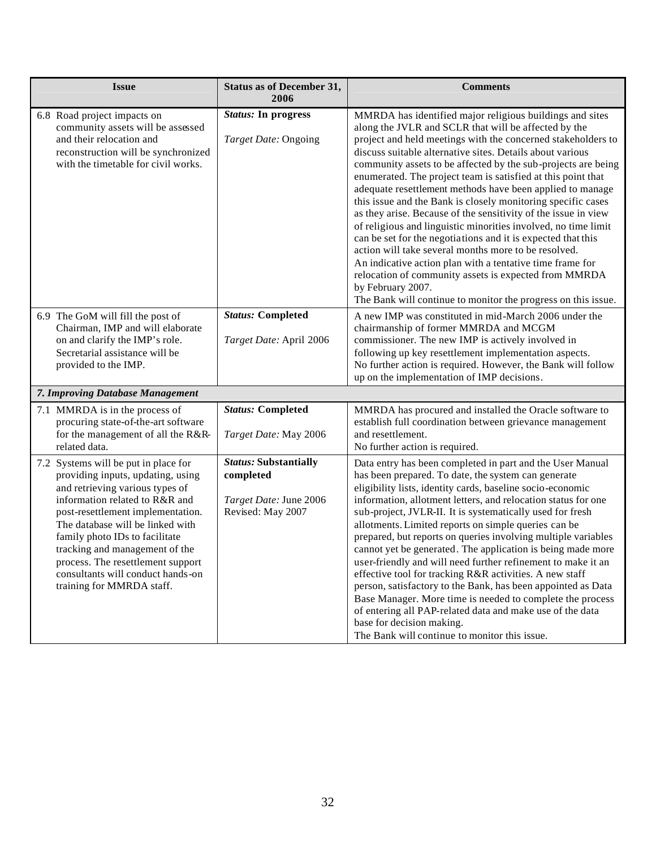| <b>Issue</b>                                                                                                                                                                                                                                                                                                                                                                                       | <b>Status as of December 31,</b><br>2006                                                 | <b>Comments</b>                                                                                                                                                                                                                                                                                                                                                                                                                                                                                                                                                                                                                                                                                                                                                                                                                                                                                                                                                                     |
|----------------------------------------------------------------------------------------------------------------------------------------------------------------------------------------------------------------------------------------------------------------------------------------------------------------------------------------------------------------------------------------------------|------------------------------------------------------------------------------------------|-------------------------------------------------------------------------------------------------------------------------------------------------------------------------------------------------------------------------------------------------------------------------------------------------------------------------------------------------------------------------------------------------------------------------------------------------------------------------------------------------------------------------------------------------------------------------------------------------------------------------------------------------------------------------------------------------------------------------------------------------------------------------------------------------------------------------------------------------------------------------------------------------------------------------------------------------------------------------------------|
| 6.8 Road project impacts on<br>community assets will be assessed<br>and their relocation and<br>reconstruction will be synchronized<br>with the timetable for civil works.                                                                                                                                                                                                                         | <b>Status:</b> In progress<br>Target Date: Ongoing                                       | MMRDA has identified major religious buildings and sites<br>along the JVLR and SCLR that will be affected by the<br>project and held meetings with the concerned stakeholders to<br>discuss suitable alternative sites. Details about various<br>community assets to be affected by the sub-projects are being<br>enumerated. The project team is satisfied at this point that<br>adequate resettlement methods have been applied to manage<br>this issue and the Bank is closely monitoring specific cases<br>as they arise. Because of the sensitivity of the issue in view<br>of religious and linguistic minorities involved, no time limit<br>can be set for the negotiations and it is expected that this<br>action will take several months more to be resolved.<br>An indicative action plan with a tentative time frame for<br>relocation of community assets is expected from MMRDA<br>by February 2007.<br>The Bank will continue to monitor the progress on this issue. |
| 6.9 The GoM will fill the post of<br>Chairman, IMP and will elaborate<br>on and clarify the IMP's role.<br>Secretarial assistance will be<br>provided to the IMP.                                                                                                                                                                                                                                  | <b>Status: Completed</b><br>Target Date: April 2006                                      | A new IMP was constituted in mid-March 2006 under the<br>chairmanship of former MMRDA and MCGM<br>commissioner. The new IMP is actively involved in<br>following up key resettlement implementation aspects.<br>No further action is required. However, the Bank will follow<br>up on the implementation of IMP decisions.                                                                                                                                                                                                                                                                                                                                                                                                                                                                                                                                                                                                                                                          |
| 7. Improving Database Management                                                                                                                                                                                                                                                                                                                                                                   |                                                                                          |                                                                                                                                                                                                                                                                                                                                                                                                                                                                                                                                                                                                                                                                                                                                                                                                                                                                                                                                                                                     |
| 7.1 MMRDA is in the process of<br>procuring state-of-the-art software<br>for the management of all the R&R-<br>related data.                                                                                                                                                                                                                                                                       | <b>Status: Completed</b><br>Target Date: May 2006                                        | MMRDA has procured and installed the Oracle software to<br>establish full coordination between grievance management<br>and resettlement.<br>No further action is required.                                                                                                                                                                                                                                                                                                                                                                                                                                                                                                                                                                                                                                                                                                                                                                                                          |
| 7.2 Systems will be put in place for<br>providing inputs, updating, using<br>and retrieving various types of<br>information related to R&R and<br>post-resettlement implementation.<br>The database will be linked with<br>family photo IDs to facilitate<br>tracking and management of the<br>process. The resettlement support<br>consultants will conduct hands-on<br>training for MMRDA staff. | <b>Status: Substantially</b><br>completed<br>Target Date: June 2006<br>Revised: May 2007 | Data entry has been completed in part and the User Manual<br>has been prepared. To date, the system can generate<br>eligibility lists, identity cards, baseline socio-economic<br>information, allotment letters, and relocation status for one<br>sub-project, JVLR-II. It is systematically used for fresh<br>allotments. Limited reports on simple queries can be<br>prepared, but reports on queries involving multiple variables<br>cannot yet be generated. The application is being made more<br>user-friendly and will need further refinement to make it an<br>effective tool for tracking R&R activities. A new staff<br>person, satisfactory to the Bank, has been appointed as Data<br>Base Manager. More time is needed to complete the process<br>of entering all PAP-related data and make use of the data<br>base for decision making.<br>The Bank will continue to monitor this issue.                                                                             |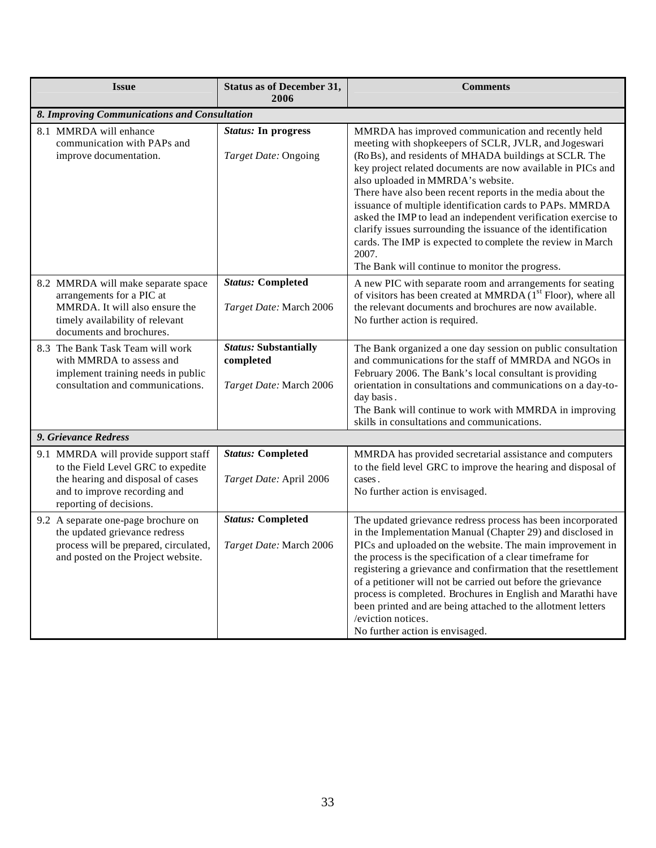| <b>Issue</b>                                                                                                                                                               | <b>Status as of December 31,</b><br>2006                             | <b>Comments</b>                                                                                                                                                                                                                                                                                                                                                                                                                                                                                                                                                                                                                                                |  |
|----------------------------------------------------------------------------------------------------------------------------------------------------------------------------|----------------------------------------------------------------------|----------------------------------------------------------------------------------------------------------------------------------------------------------------------------------------------------------------------------------------------------------------------------------------------------------------------------------------------------------------------------------------------------------------------------------------------------------------------------------------------------------------------------------------------------------------------------------------------------------------------------------------------------------------|--|
| 8. Improving Communications and Consultation                                                                                                                               |                                                                      |                                                                                                                                                                                                                                                                                                                                                                                                                                                                                                                                                                                                                                                                |  |
| 8.1 MMRDA will enhance<br>communication with PAPs and<br>improve documentation.                                                                                            | <b>Status:</b> In progress<br>Target Date: Ongoing                   | MMRDA has improved communication and recently held<br>meeting with shopkeepers of SCLR, JVLR, and Jogeswari<br>(RoBs), and residents of MHADA buildings at SCLR. The<br>key project related documents are now available in PICs and<br>also uploaded in MMRDA's website.<br>There have also been recent reports in the media about the<br>issuance of multiple identification cards to PAPs. MMRDA<br>asked the IMP to lead an independent verification exercise to<br>clarify issues surrounding the issuance of the identification<br>cards. The IMP is expected to complete the review in March<br>2007.<br>The Bank will continue to monitor the progress. |  |
| 8.2 MMRDA will make separate space<br>arrangements for a PIC at<br>MMRDA. It will also ensure the<br>timely availability of relevant<br>documents and brochures.           | <b>Status: Completed</b><br>Target Date: March 2006                  | A new PIC with separate room and arrangements for seating<br>of visitors has been created at MMRDA (1 <sup>st</sup> Floor), where all<br>the relevant documents and brochures are now available.<br>No further action is required.                                                                                                                                                                                                                                                                                                                                                                                                                             |  |
| 8.3 The Bank Task Team will work<br>with MMRDA to assess and<br>implement training needs in public<br>consultation and communications.                                     | <b>Status: Substantially</b><br>completed<br>Target Date: March 2006 | The Bank organized a one day session on public consultation<br>and communications for the staff of MMRDA and NGOs in<br>February 2006. The Bank's local consultant is providing<br>orientation in consultations and communications on a day-to-<br>day basis.<br>The Bank will continue to work with MMRDA in improving<br>skills in consultations and communications.                                                                                                                                                                                                                                                                                         |  |
| 9. Grievance Redress                                                                                                                                                       |                                                                      |                                                                                                                                                                                                                                                                                                                                                                                                                                                                                                                                                                                                                                                                |  |
| 9.1 MMRDA will provide support staff<br>to the Field Level GRC to expedite<br>the hearing and disposal of cases<br>and to improve recording and<br>reporting of decisions. | <b>Status: Completed</b><br>Target Date: April 2006                  | MMRDA has provided secretarial assistance and computers<br>to the field level GRC to improve the hearing and disposal of<br>cases.<br>No further action is envisaged.                                                                                                                                                                                                                                                                                                                                                                                                                                                                                          |  |
| 9.2 A separate one-page brochure on<br>the updated grievance redress<br>process will be prepared, circulated,<br>and posted on the Project website.                        | <b>Status: Completed</b><br>Target Date: March 2006                  | The updated grievance redress process has been incorporated<br>in the Implementation Manual (Chapter 29) and disclosed in<br>PICs and uploaded on the website. The main improvement in<br>the process is the specification of a clear timeframe for<br>registering a grievance and confirmation that the resettlement<br>of a petitioner will not be carried out before the grievance<br>process is completed. Brochures in English and Marathi have<br>been printed and are being attached to the allotment letters<br>/eviction notices.<br>No further action is envisaged.                                                                                  |  |